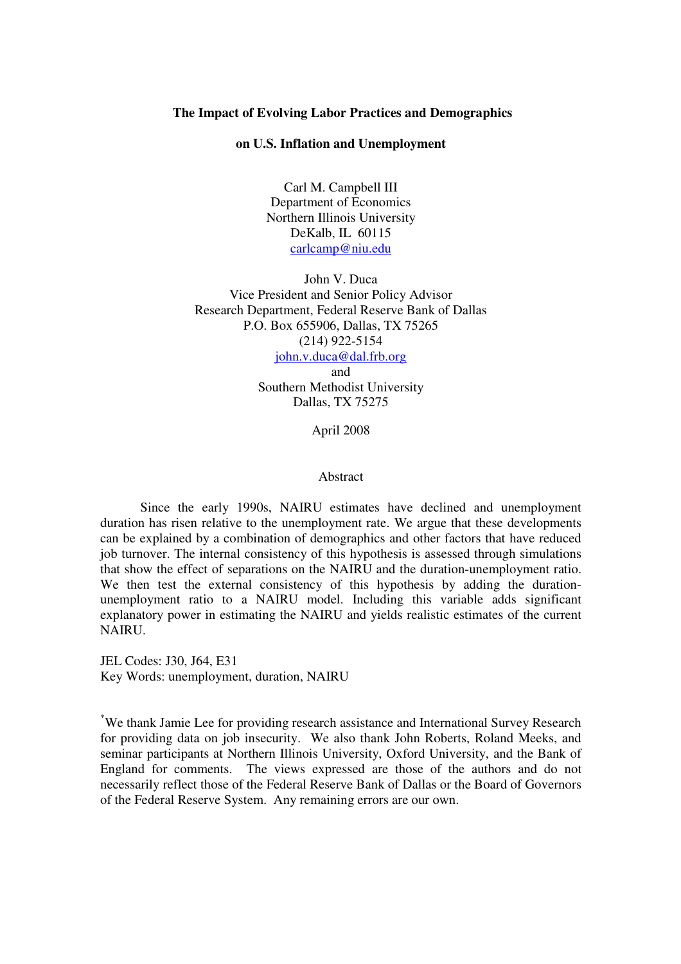# **The Impact of Evolving Labor Practices and Demographics**

#### **on U.S. Inflation and Unemployment**

Carl M. Campbell III Department of Economics Northern Illinois University DeKalb, IL 60115 carlcamp@niu.edu

John V. Duca Vice President and Senior Policy Advisor Research Department, Federal Reserve Bank of Dallas P.O. Box 655906, Dallas, TX 75265 (214) 922-5154 john.v.duca@dal.frb.org

> and Southern Methodist University Dallas, TX 75275

> > April 2008

#### Abstract

Since the early 1990s, NAIRU estimates have declined and unemployment duration has risen relative to the unemployment rate. We argue that these developments can be explained by a combination of demographics and other factors that have reduced job turnover. The internal consistency of this hypothesis is assessed through simulations that show the effect of separations on the NAIRU and the duration-unemployment ratio. We then test the external consistency of this hypothesis by adding the durationunemployment ratio to a NAIRU model. Including this variable adds significant explanatory power in estimating the NAIRU and yields realistic estimates of the current NAIRU.

JEL Codes: J30, J64, E31 Key Words: unemployment, duration, NAIRU

\*We thank Jamie Lee for providing research assistance and International Survey Research for providing data on job insecurity. We also thank John Roberts, Roland Meeks, and seminar participants at Northern Illinois University, Oxford University, and the Bank of England for comments. The views expressed are those of the authors and do not necessarily reflect those of the Federal Reserve Bank of Dallas or the Board of Governors of the Federal Reserve System. Any remaining errors are our own.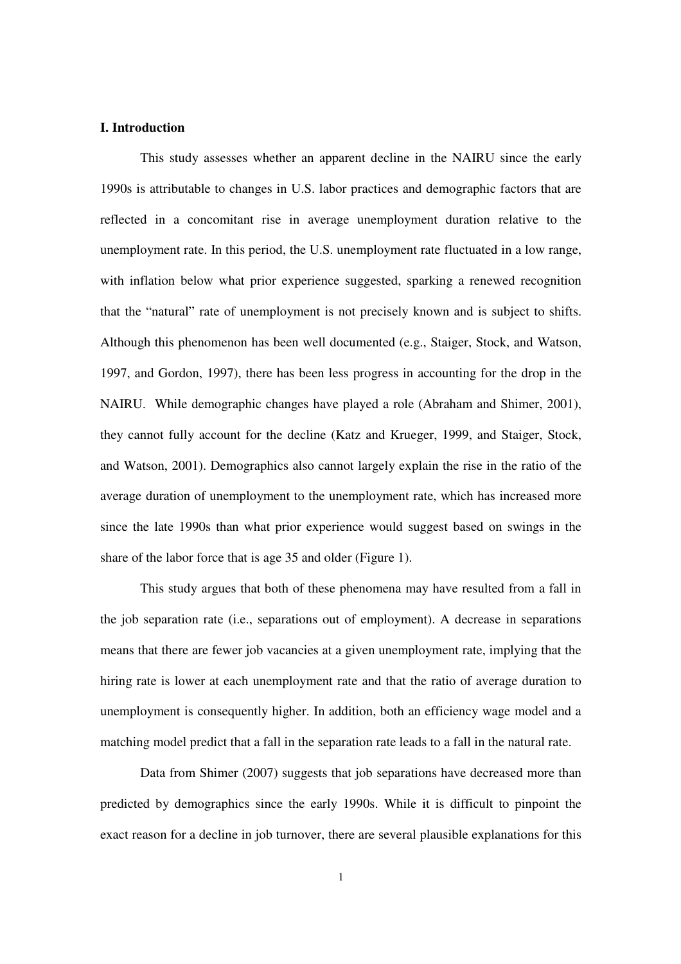## **I. Introduction**

This study assesses whether an apparent decline in the NAIRU since the early 1990s is attributable to changes in U.S. labor practices and demographic factors that are reflected in a concomitant rise in average unemployment duration relative to the unemployment rate. In this period, the U.S. unemployment rate fluctuated in a low range, with inflation below what prior experience suggested, sparking a renewed recognition that the "natural" rate of unemployment is not precisely known and is subject to shifts. Although this phenomenon has been well documented (e.g., Staiger, Stock, and Watson, 1997, and Gordon, 1997), there has been less progress in accounting for the drop in the NAIRU. While demographic changes have played a role (Abraham and Shimer, 2001), they cannot fully account for the decline (Katz and Krueger, 1999, and Staiger, Stock, and Watson, 2001). Demographics also cannot largely explain the rise in the ratio of the average duration of unemployment to the unemployment rate, which has increased more since the late 1990s than what prior experience would suggest based on swings in the share of the labor force that is age 35 and older (Figure 1).

This study argues that both of these phenomena may have resulted from a fall in the job separation rate (i.e., separations out of employment). A decrease in separations means that there are fewer job vacancies at a given unemployment rate, implying that the hiring rate is lower at each unemployment rate and that the ratio of average duration to unemployment is consequently higher. In addition, both an efficiency wage model and a matching model predict that a fall in the separation rate leads to a fall in the natural rate.

Data from Shimer (2007) suggests that job separations have decreased more than predicted by demographics since the early 1990s. While it is difficult to pinpoint the exact reason for a decline in job turnover, there are several plausible explanations for this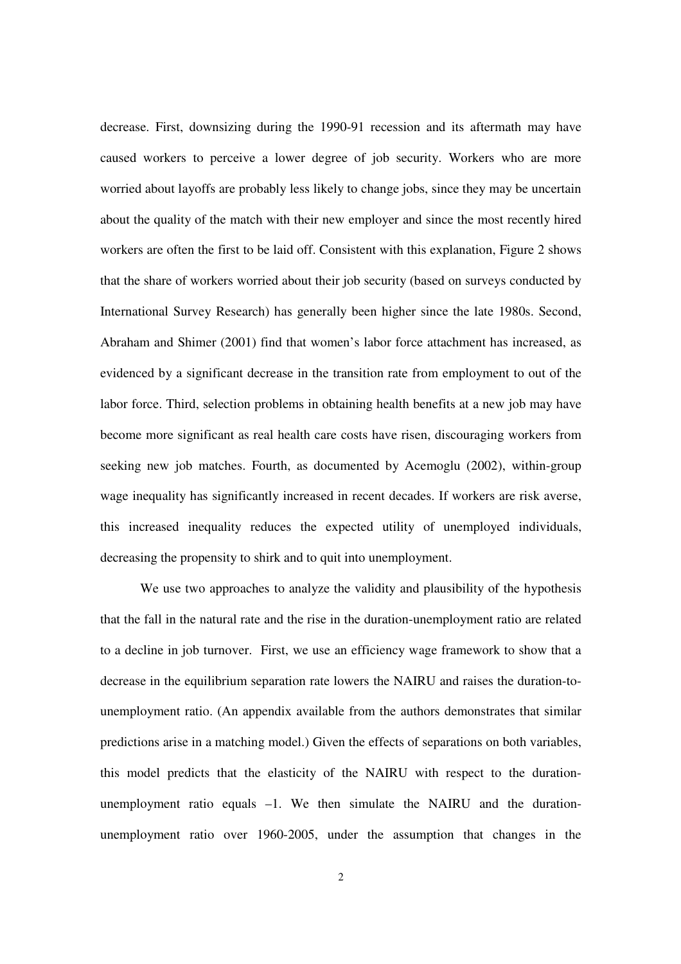decrease. First, downsizing during the 1990-91 recession and its aftermath may have caused workers to perceive a lower degree of job security. Workers who are more worried about layoffs are probably less likely to change jobs, since they may be uncertain about the quality of the match with their new employer and since the most recently hired workers are often the first to be laid off. Consistent with this explanation, Figure 2 shows that the share of workers worried about their job security (based on surveys conducted by International Survey Research) has generally been higher since the late 1980s. Second, Abraham and Shimer (2001) find that women's labor force attachment has increased, as evidenced by a significant decrease in the transition rate from employment to out of the labor force. Third, selection problems in obtaining health benefits at a new job may have become more significant as real health care costs have risen, discouraging workers from seeking new job matches. Fourth, as documented by Acemoglu (2002), within-group wage inequality has significantly increased in recent decades. If workers are risk averse, this increased inequality reduces the expected utility of unemployed individuals, decreasing the propensity to shirk and to quit into unemployment.

We use two approaches to analyze the validity and plausibility of the hypothesis that the fall in the natural rate and the rise in the duration-unemployment ratio are related to a decline in job turnover. First, we use an efficiency wage framework to show that a decrease in the equilibrium separation rate lowers the NAIRU and raises the duration-tounemployment ratio. (An appendix available from the authors demonstrates that similar predictions arise in a matching model.) Given the effects of separations on both variables, this model predicts that the elasticity of the NAIRU with respect to the durationunemployment ratio equals –1. We then simulate the NAIRU and the durationunemployment ratio over 1960-2005, under the assumption that changes in the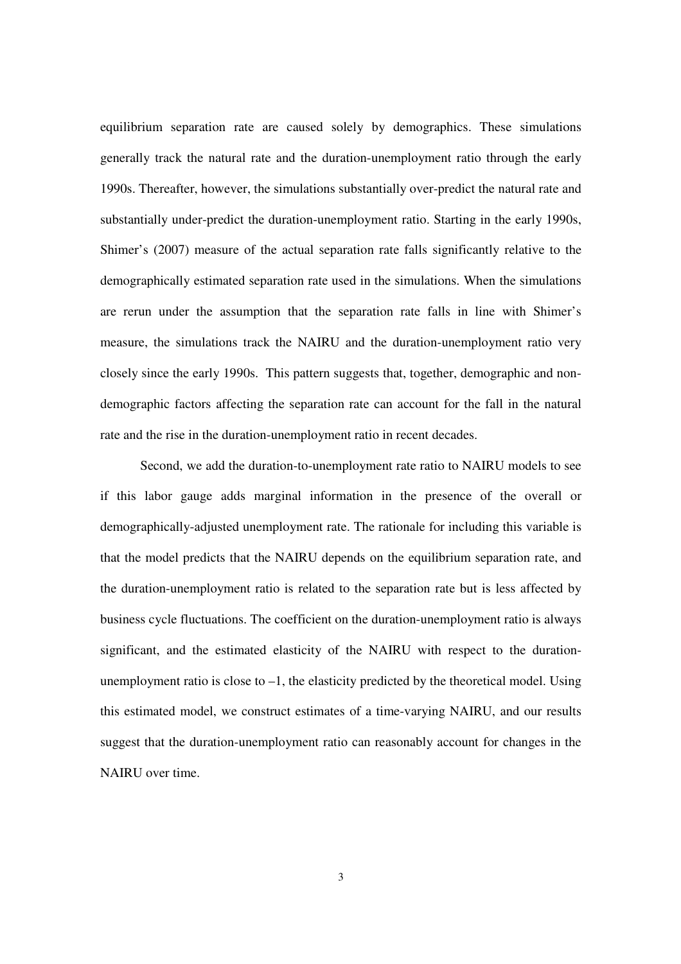equilibrium separation rate are caused solely by demographics. These simulations generally track the natural rate and the duration-unemployment ratio through the early 1990s. Thereafter, however, the simulations substantially over-predict the natural rate and substantially under-predict the duration-unemployment ratio. Starting in the early 1990s, Shimer's (2007) measure of the actual separation rate falls significantly relative to the demographically estimated separation rate used in the simulations. When the simulations are rerun under the assumption that the separation rate falls in line with Shimer's measure, the simulations track the NAIRU and the duration-unemployment ratio very closely since the early 1990s. This pattern suggests that, together, demographic and nondemographic factors affecting the separation rate can account for the fall in the natural rate and the rise in the duration-unemployment ratio in recent decades.

Second, we add the duration-to-unemployment rate ratio to NAIRU models to see if this labor gauge adds marginal information in the presence of the overall or demographically-adjusted unemployment rate. The rationale for including this variable is that the model predicts that the NAIRU depends on the equilibrium separation rate, and the duration-unemployment ratio is related to the separation rate but is less affected by business cycle fluctuations. The coefficient on the duration-unemployment ratio is always significant, and the estimated elasticity of the NAIRU with respect to the durationunemployment ratio is close to  $-1$ , the elasticity predicted by the theoretical model. Using this estimated model, we construct estimates of a time-varying NAIRU, and our results suggest that the duration-unemployment ratio can reasonably account for changes in the NAIRU over time.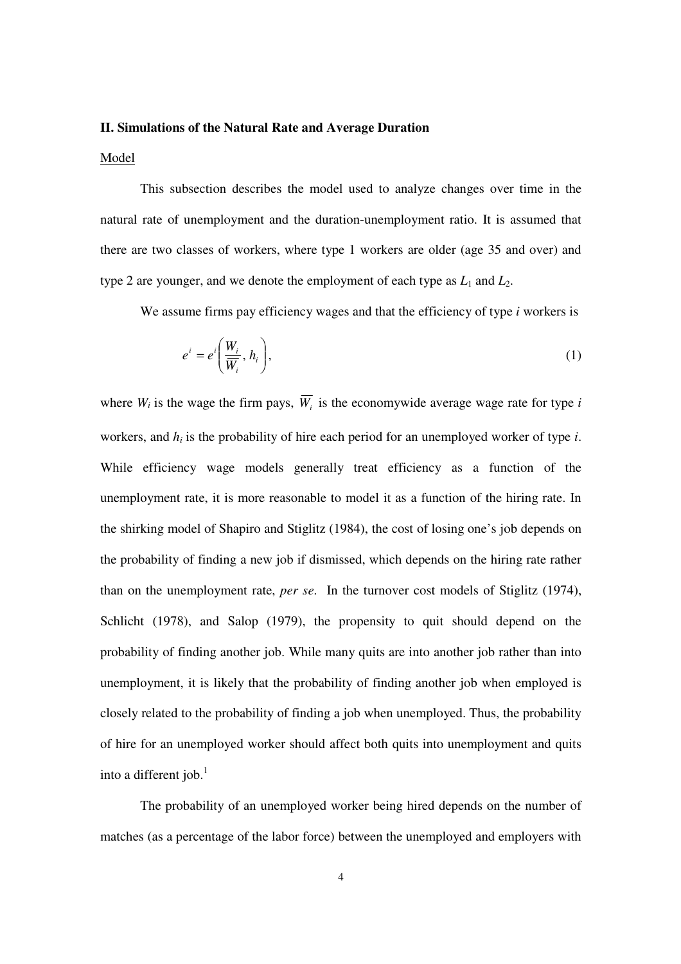#### **II. Simulations of the Natural Rate and Average Duration**

#### Model

This subsection describes the model used to analyze changes over time in the natural rate of unemployment and the duration-unemployment ratio. It is assumed that there are two classes of workers, where type 1 workers are older (age 35 and over) and type 2 are younger, and we denote the employment of each type as  $L_1$  and  $L_2$ .

We assume firms pay efficiency wages and that the efficiency of type *i* workers is

$$
e^{i} = e^{i} \left( \frac{W_{i}}{\overline{W_{i}}}, h_{i} \right), \tag{1}
$$

where  $W_i$  is the wage the firm pays,  $W_i$  is the economywide average wage rate for type  $i$ workers, and  $h_i$  is the probability of hire each period for an unemployed worker of type *i*. While efficiency wage models generally treat efficiency as a function of the unemployment rate, it is more reasonable to model it as a function of the hiring rate. In the shirking model of Shapiro and Stiglitz (1984), the cost of losing one's job depends on the probability of finding a new job if dismissed, which depends on the hiring rate rather than on the unemployment rate, *per se*. In the turnover cost models of Stiglitz (1974), Schlicht (1978), and Salop (1979), the propensity to quit should depend on the probability of finding another job. While many quits are into another job rather than into unemployment, it is likely that the probability of finding another job when employed is closely related to the probability of finding a job when unemployed. Thus, the probability of hire for an unemployed worker should affect both quits into unemployment and quits into a different job. $<sup>1</sup>$ </sup>

 The probability of an unemployed worker being hired depends on the number of matches (as a percentage of the labor force) between the unemployed and employers with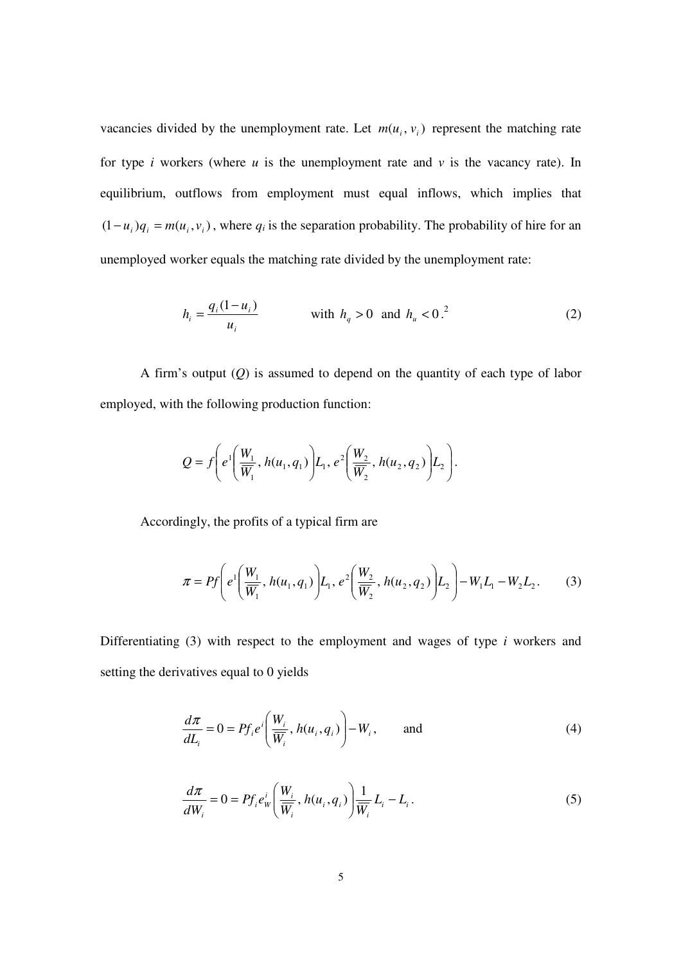vacancies divided by the unemployment rate. Let  $m(u_i, v_i)$  represent the matching rate for type *i* workers (where *u* is the unemployment rate and  $\nu$  is the vacancy rate). In equilibrium, outflows from employment must equal inflows, which implies that  $(1 - u_i)q_i = m(u_i, v_i)$ , where  $q_i$  is the separation probability. The probability of hire for an unemployed worker equals the matching rate divided by the unemployment rate:

$$
h_i = \frac{q_i (1 - u_i)}{u_i}
$$
 with  $h_q > 0$  and  $h_u < 0$ .<sup>2</sup> (2)

A firm's output (*Q*) is assumed to depend on the quantity of each type of labor employed, with the following production function:

$$
Q = f\left(e^{1}\left(\frac{W_{1}}{\overline{W}_{1}}, h(u_{1}, q_{1})\right) L_{1}, e^{2}\left(\frac{W_{2}}{\overline{W}_{2}}, h(u_{2}, q_{2})\right) L_{2}\right).
$$

Accordingly, the profits of a typical firm are

$$
\pi = Pf\left(e^{i}\left(\frac{W_{1}}{W_{1}}, h(u_{1}, q_{1})\right) L_{1}, e^{2}\left(\frac{W_{2}}{W_{2}}, h(u_{2}, q_{2})\right) L_{2}\right) - W_{1}L_{1} - W_{2}L_{2}.
$$
 (3)

Differentiating (3) with respect to the employment and wages of type *i* workers and setting the derivatives equal to 0 yields

$$
\frac{d\pi}{dL_i} = 0 = Pf_i e^i \left( \frac{W_i}{\overline{W}_i}, h(u_i, q_i) \right) - W_i, \quad \text{and} \tag{4}
$$

$$
\frac{d\pi}{dW_i} = 0 = Pf_i e_w^i \left(\frac{W_i}{\overline{W}_i}, h(u_i, q_i)\right) \frac{1}{\overline{W}_i} L_i - L_i.
$$
\n(5)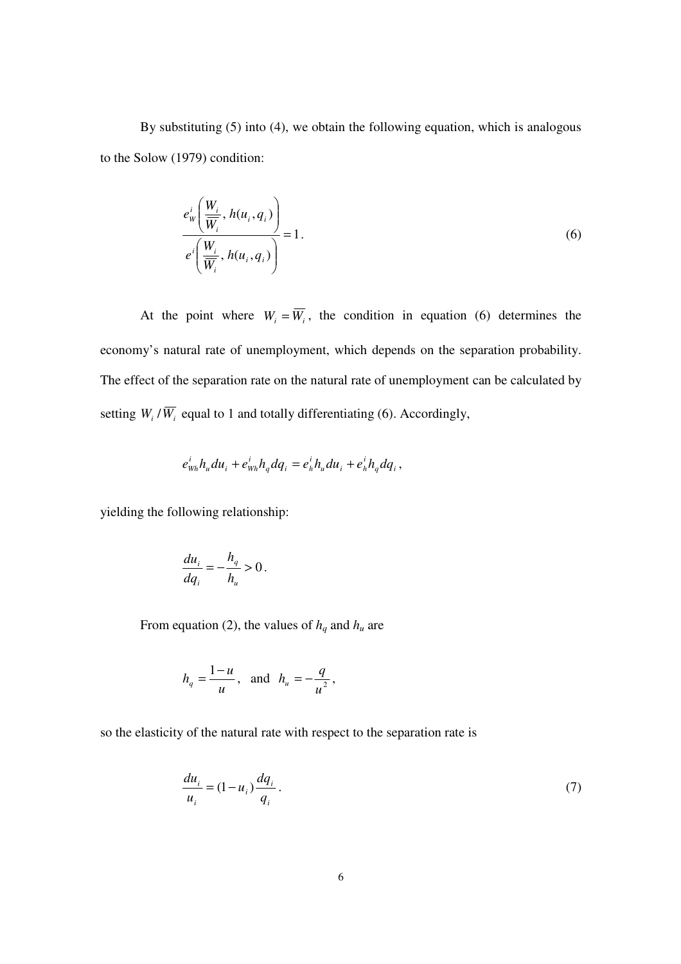By substituting (5) into (4), we obtain the following equation, which is analogous to the Solow (1979) condition:

$$
\frac{e_w^i\left(\frac{W_i}{\overline{W_i}}, h(u_i, q_i)\right)}{e^i\left(\frac{W_i}{\overline{W_i}}, h(u_i, q_i)\right)} = 1.
$$
\n(6)

At the point where  $W_i = W_i$ , the condition in equation (6) determines the economy's natural rate of unemployment, which depends on the separation probability. The effect of the separation rate on the natural rate of unemployment can be calculated by setting  $W_i/W_i$  equal to 1 and totally differentiating (6). Accordingly,

$$
e_{wh}^ih_u du_i + e_{wh}^ih_q dq_i = e_h^ih_u du_i + e_h^ih_q dq_i,
$$

yielding the following relationship:

$$
\frac{du_i}{dq_i} = -\frac{h_q}{h_u} > 0.
$$

From equation (2), the values of  $h_q$  and  $h_u$  are

$$
h_q = \frac{1-u}{u}, \text{ and } h_u = -\frac{q}{u^2},
$$

so the elasticity of the natural rate with respect to the separation rate is

$$
\frac{du_i}{u_i} = (1 - u_i) \frac{dq_i}{q_i} \,. \tag{7}
$$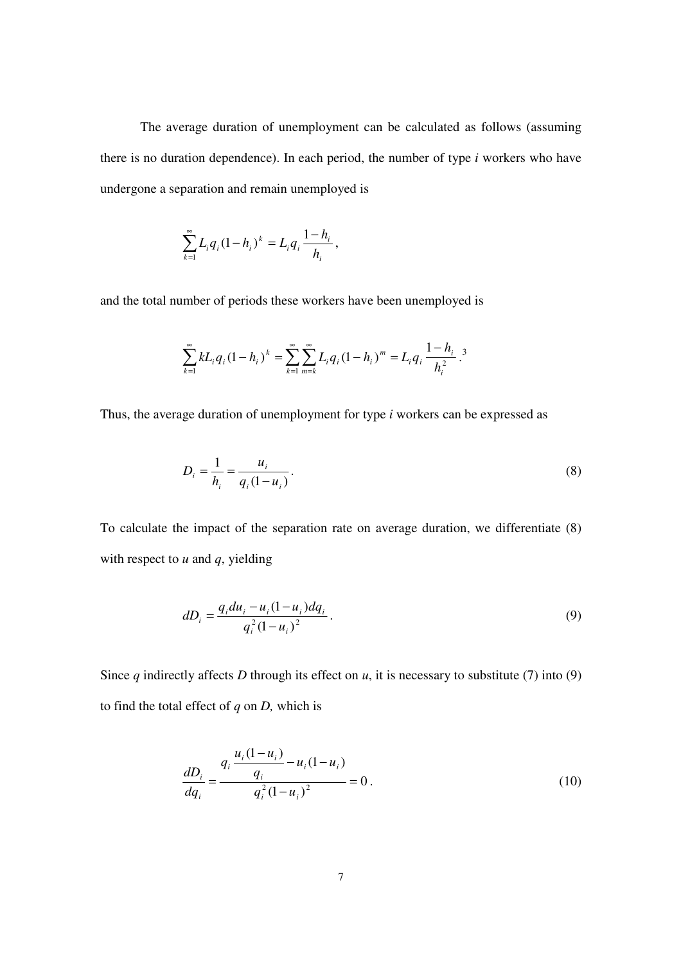The average duration of unemployment can be calculated as follows (assuming there is no duration dependence). In each period, the number of type *i* workers who have undergone a separation and remain unemployed is

$$
\sum_{k=1}^{\infty} L_i q_i (1-h_i)^k = L_i q_i \frac{1-h_i}{h_i},
$$

and the total number of periods these workers have been unemployed is

$$
\sum_{k=1}^{\infty} k L_i q_i (1-h_i)^k = \sum_{k=1}^{\infty} \sum_{m=k}^{\infty} L_i q_i (1-h_i)^m = L_i q_i \frac{1-h_i}{h_i^2}.
$$

Thus, the average duration of unemployment for type *i* workers can be expressed as

$$
D_i = \frac{1}{h_i} = \frac{u_i}{q_i (1 - u_i)}.
$$
\n(8)

To calculate the impact of the separation rate on average duration, we differentiate (8) with respect to *u* and *q*, yielding

$$
dD_i = \frac{q_i du_i - u_i (1 - u_i) dq_i}{q_i^2 (1 - u_i)^2}.
$$
\n(9)

Since  $q$  indirectly affects  $D$  through its effect on  $u$ , it is necessary to substitute (7) into (9) to find the total effect of *q* on *D,* which is

$$
\frac{dD_i}{dq_i} = \frac{q_i \frac{u_i (1 - u_i)}{q_i} - u_i (1 - u_i)}{q_i^2 (1 - u_i)^2} = 0.
$$
\n(10)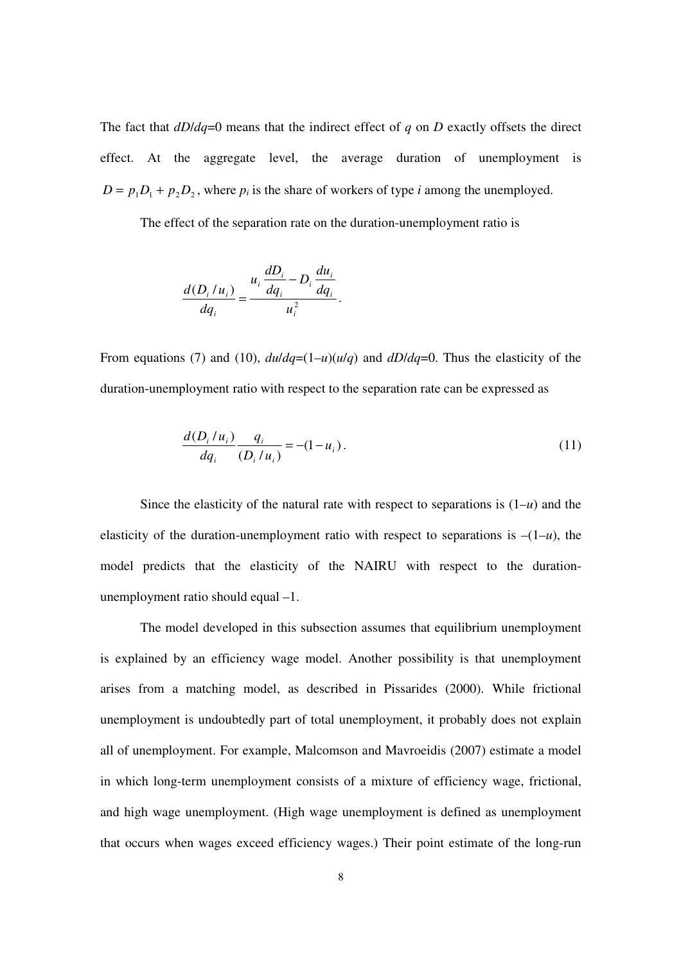The fact that *dD*/*dq*=0 means that the indirect effect of *q* on *D* exactly offsets the direct effect. At the aggregate level, the average duration of unemployment is  $D = p_1 D_1 + p_2 D_2$ , where  $p_i$  is the share of workers of type *i* among the unemployed.

The effect of the separation rate on the duration-unemployment ratio is

$$
\frac{d(D_i/u_i)}{dq_i} = \frac{u_i \frac{dD_i}{dq_i} - D_i \frac{du_i}{dq_i}}{u_i^2}.
$$

From equations (7) and (10),  $du/dq = (1-u)(u/q)$  and  $dD/dq = 0$ . Thus the elasticity of the duration-unemployment ratio with respect to the separation rate can be expressed as

$$
\frac{d(D_i/u_i)}{dq_i} \frac{q_i}{(D_i/u_i)} = -(1 - u_i). \tag{11}
$$

Since the elasticity of the natural rate with respect to separations is  $(1-u)$  and the elasticity of the duration-unemployment ratio with respect to separations is  $-(1-u)$ , the model predicts that the elasticity of the NAIRU with respect to the durationunemployment ratio should equal –1.

The model developed in this subsection assumes that equilibrium unemployment is explained by an efficiency wage model. Another possibility is that unemployment arises from a matching model, as described in Pissarides (2000). While frictional unemployment is undoubtedly part of total unemployment, it probably does not explain all of unemployment. For example, Malcomson and Mavroeidis (2007) estimate a model in which long-term unemployment consists of a mixture of efficiency wage, frictional, and high wage unemployment. (High wage unemployment is defined as unemployment that occurs when wages exceed efficiency wages.) Their point estimate of the long-run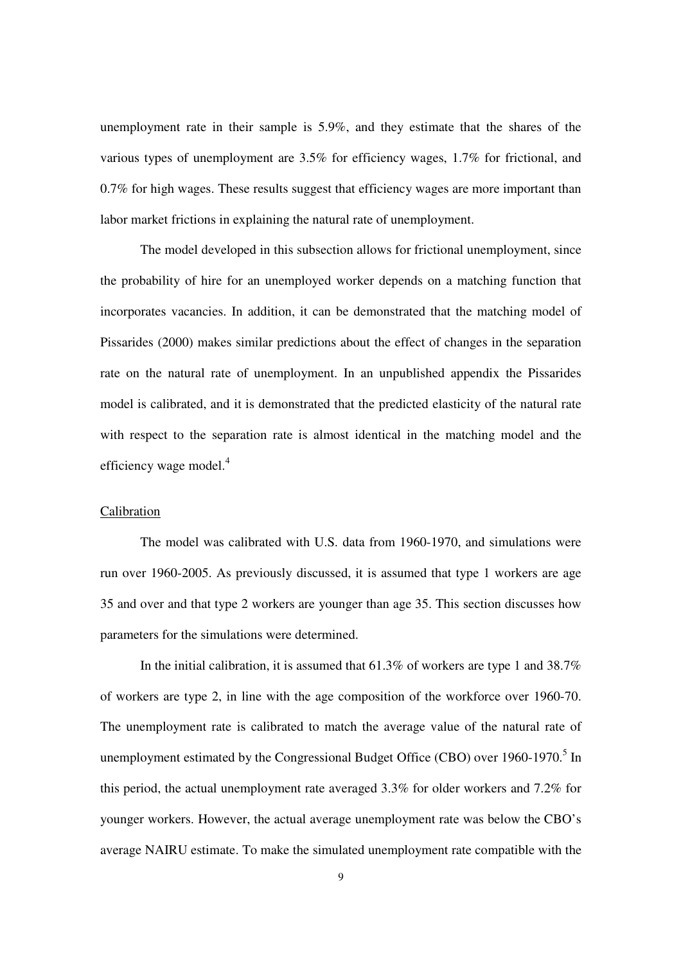unemployment rate in their sample is 5.9%, and they estimate that the shares of the various types of unemployment are 3.5% for efficiency wages, 1.7% for frictional, and 0.7% for high wages. These results suggest that efficiency wages are more important than labor market frictions in explaining the natural rate of unemployment.

The model developed in this subsection allows for frictional unemployment, since the probability of hire for an unemployed worker depends on a matching function that incorporates vacancies. In addition, it can be demonstrated that the matching model of Pissarides (2000) makes similar predictions about the effect of changes in the separation rate on the natural rate of unemployment. In an unpublished appendix the Pissarides model is calibrated, and it is demonstrated that the predicted elasticity of the natural rate with respect to the separation rate is almost identical in the matching model and the efficiency wage model.<sup>4</sup>

## **Calibration**

 The model was calibrated with U.S. data from 1960-1970, and simulations were run over 1960-2005. As previously discussed, it is assumed that type 1 workers are age 35 and over and that type 2 workers are younger than age 35. This section discusses how parameters for the simulations were determined.

In the initial calibration, it is assumed that 61.3% of workers are type 1 and 38.7% of workers are type 2, in line with the age composition of the workforce over 1960-70. The unemployment rate is calibrated to match the average value of the natural rate of unemployment estimated by the Congressional Budget Office (CBO) over 1960-1970.<sup>5</sup> In this period, the actual unemployment rate averaged 3.3% for older workers and 7.2% for younger workers. However, the actual average unemployment rate was below the CBO's average NAIRU estimate. To make the simulated unemployment rate compatible with the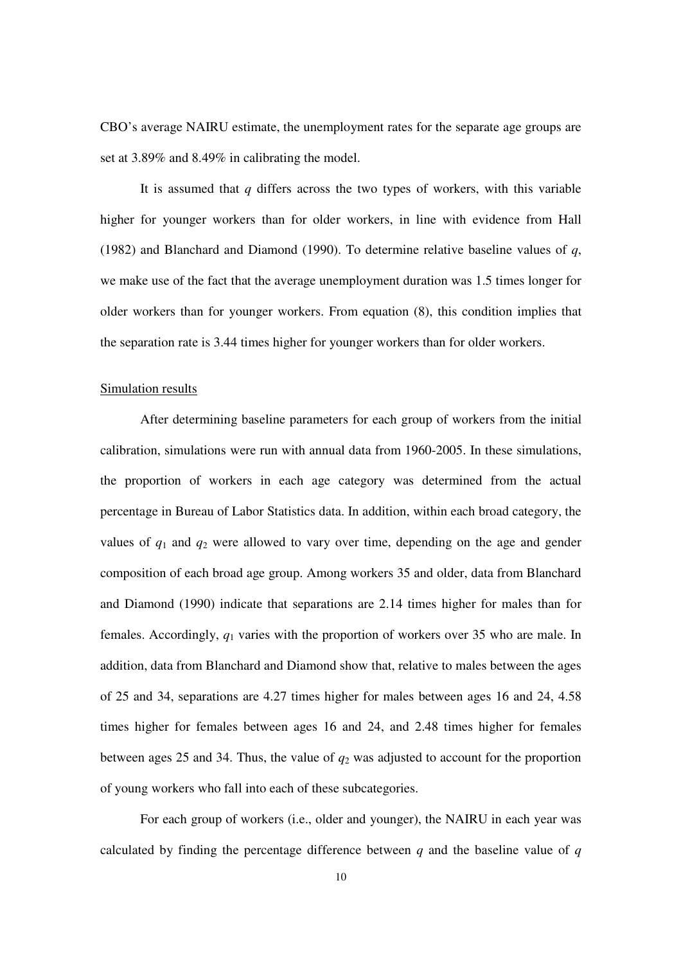CBO's average NAIRU estimate, the unemployment rates for the separate age groups are set at 3.89% and 8.49% in calibrating the model.

It is assumed that *q* differs across the two types of workers, with this variable higher for younger workers than for older workers, in line with evidence from Hall (1982) and Blanchard and Diamond (1990). To determine relative baseline values of *q*, we make use of the fact that the average unemployment duration was 1.5 times longer for older workers than for younger workers. From equation (8), this condition implies that the separation rate is 3.44 times higher for younger workers than for older workers.

#### Simulation results

 After determining baseline parameters for each group of workers from the initial calibration, simulations were run with annual data from 1960-2005. In these simulations, the proportion of workers in each age category was determined from the actual percentage in Bureau of Labor Statistics data. In addition, within each broad category, the values of  $q_1$  and  $q_2$  were allowed to vary over time, depending on the age and gender composition of each broad age group. Among workers 35 and older, data from Blanchard and Diamond (1990) indicate that separations are 2.14 times higher for males than for females. Accordingly, *q*1 varies with the proportion of workers over 35 who are male. In addition, data from Blanchard and Diamond show that, relative to males between the ages of 25 and 34, separations are 4.27 times higher for males between ages 16 and 24, 4.58 times higher for females between ages 16 and 24, and 2.48 times higher for females between ages 25 and 34. Thus, the value of  $q_2$  was adjusted to account for the proportion of young workers who fall into each of these subcategories.

 For each group of workers (i.e., older and younger), the NAIRU in each year was calculated by finding the percentage difference between *q* and the baseline value of *q*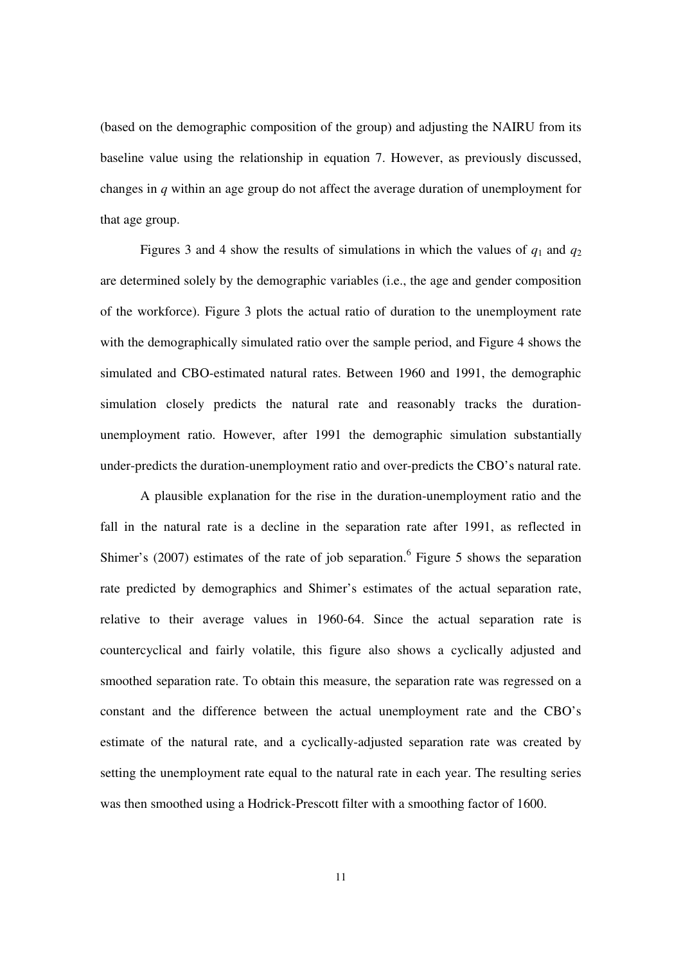(based on the demographic composition of the group) and adjusting the NAIRU from its baseline value using the relationship in equation 7. However, as previously discussed, changes in *q* within an age group do not affect the average duration of unemployment for that age group.

Figures 3 and 4 show the results of simulations in which the values of  $q_1$  and  $q_2$ are determined solely by the demographic variables (i.e., the age and gender composition of the workforce). Figure 3 plots the actual ratio of duration to the unemployment rate with the demographically simulated ratio over the sample period, and Figure 4 shows the simulated and CBO-estimated natural rates. Between 1960 and 1991, the demographic simulation closely predicts the natural rate and reasonably tracks the durationunemployment ratio. However, after 1991 the demographic simulation substantially under-predicts the duration-unemployment ratio and over-predicts the CBO's natural rate.

A plausible explanation for the rise in the duration-unemployment ratio and the fall in the natural rate is a decline in the separation rate after 1991, as reflected in Shimer's  $(2007)$  estimates of the rate of job separation.<sup>6</sup> Figure 5 shows the separation rate predicted by demographics and Shimer's estimates of the actual separation rate, relative to their average values in 1960-64. Since the actual separation rate is countercyclical and fairly volatile, this figure also shows a cyclically adjusted and smoothed separation rate. To obtain this measure, the separation rate was regressed on a constant and the difference between the actual unemployment rate and the CBO's estimate of the natural rate, and a cyclically-adjusted separation rate was created by setting the unemployment rate equal to the natural rate in each year. The resulting series was then smoothed using a Hodrick-Prescott filter with a smoothing factor of 1600.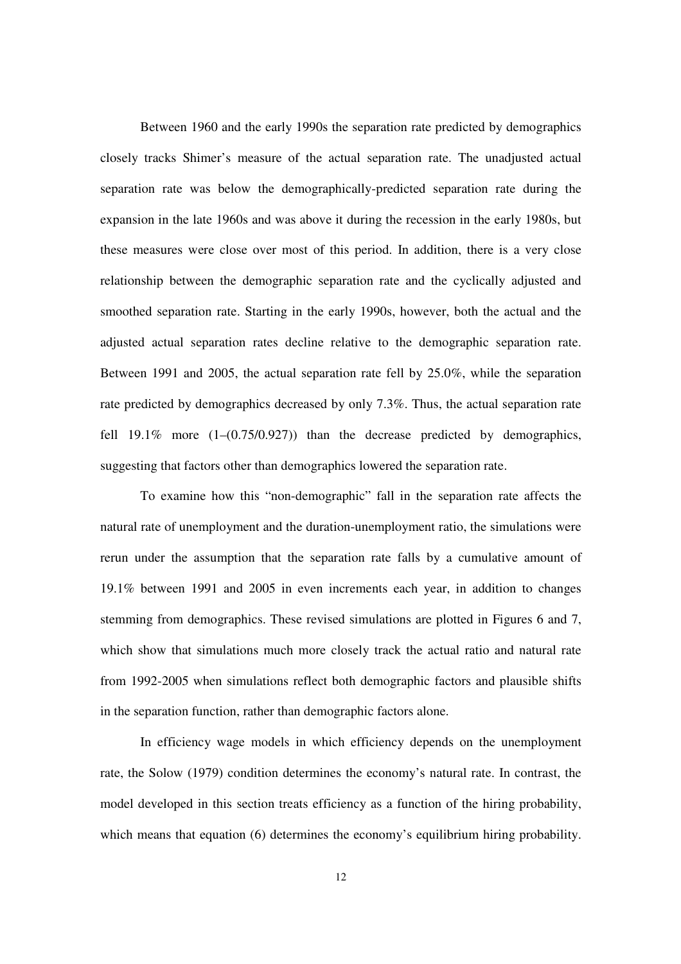Between 1960 and the early 1990s the separation rate predicted by demographics closely tracks Shimer's measure of the actual separation rate. The unadjusted actual separation rate was below the demographically-predicted separation rate during the expansion in the late 1960s and was above it during the recession in the early 1980s, but these measures were close over most of this period. In addition, there is a very close relationship between the demographic separation rate and the cyclically adjusted and smoothed separation rate. Starting in the early 1990s, however, both the actual and the adjusted actual separation rates decline relative to the demographic separation rate. Between 1991 and 2005, the actual separation rate fell by 25.0%, while the separation rate predicted by demographics decreased by only 7.3%. Thus, the actual separation rate fell  $19.1\%$  more  $(1-(0.75/0.927))$  than the decrease predicted by demographics, suggesting that factors other than demographics lowered the separation rate.

To examine how this "non-demographic" fall in the separation rate affects the natural rate of unemployment and the duration-unemployment ratio, the simulations were rerun under the assumption that the separation rate falls by a cumulative amount of 19.1% between 1991 and 2005 in even increments each year, in addition to changes stemming from demographics. These revised simulations are plotted in Figures 6 and 7, which show that simulations much more closely track the actual ratio and natural rate from 1992-2005 when simulations reflect both demographic factors and plausible shifts in the separation function, rather than demographic factors alone.

In efficiency wage models in which efficiency depends on the unemployment rate, the Solow (1979) condition determines the economy's natural rate. In contrast, the model developed in this section treats efficiency as a function of the hiring probability, which means that equation (6) determines the economy's equilibrium hiring probability.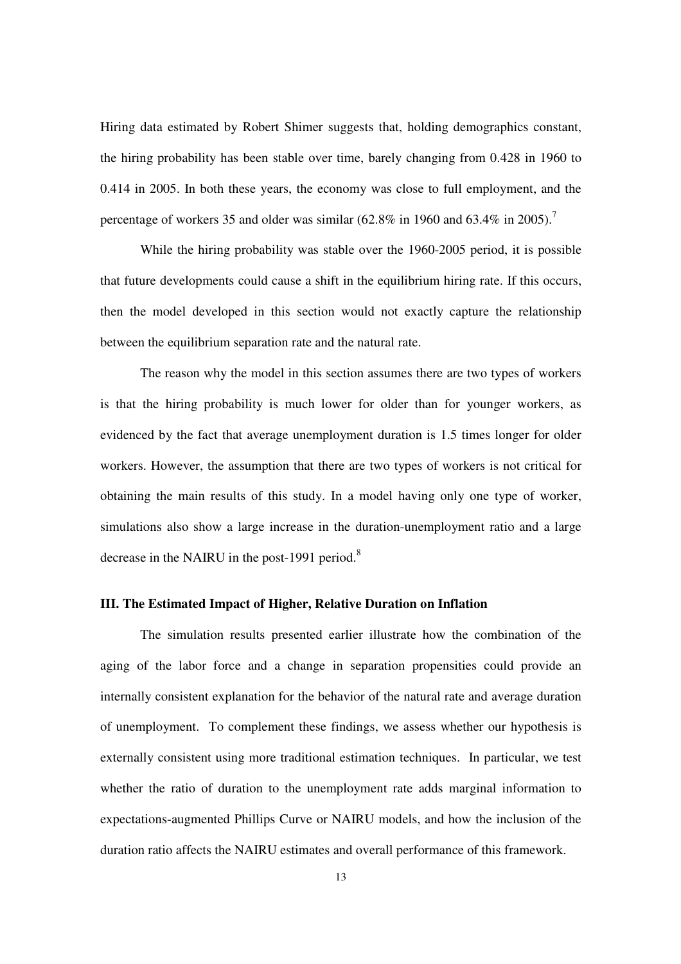Hiring data estimated by Robert Shimer suggests that, holding demographics constant, the hiring probability has been stable over time, barely changing from 0.428 in 1960 to 0.414 in 2005. In both these years, the economy was close to full employment, and the percentage of workers 35 and older was similar (62.8% in 1960 and 63.4% in 2005).<sup>7</sup>

While the hiring probability was stable over the 1960-2005 period, it is possible that future developments could cause a shift in the equilibrium hiring rate. If this occurs, then the model developed in this section would not exactly capture the relationship between the equilibrium separation rate and the natural rate.

The reason why the model in this section assumes there are two types of workers is that the hiring probability is much lower for older than for younger workers, as evidenced by the fact that average unemployment duration is 1.5 times longer for older workers. However, the assumption that there are two types of workers is not critical for obtaining the main results of this study. In a model having only one type of worker, simulations also show a large increase in the duration-unemployment ratio and a large decrease in the NAIRU in the post-1991 period. $8$ 

## **III. The Estimated Impact of Higher, Relative Duration on Inflation**

The simulation results presented earlier illustrate how the combination of the aging of the labor force and a change in separation propensities could provide an internally consistent explanation for the behavior of the natural rate and average duration of unemployment. To complement these findings, we assess whether our hypothesis is externally consistent using more traditional estimation techniques. In particular, we test whether the ratio of duration to the unemployment rate adds marginal information to expectations-augmented Phillips Curve or NAIRU models, and how the inclusion of the duration ratio affects the NAIRU estimates and overall performance of this framework.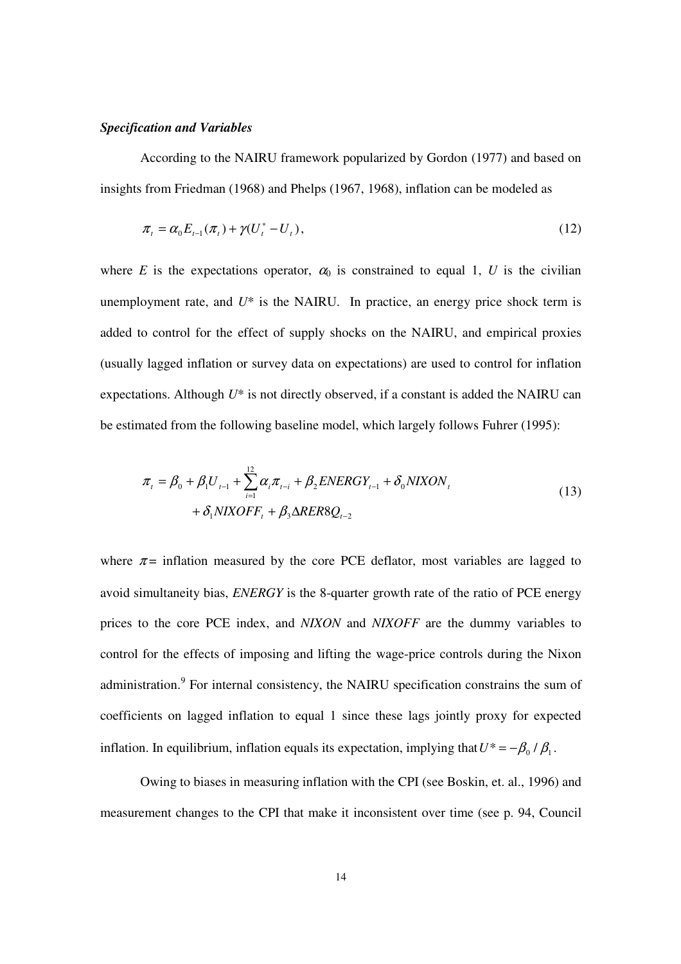#### *Specification and Variables*

According to the NAIRU framework popularized by Gordon (1977) and based on insights from Friedman (1968) and Phelps (1967, 1968), inflation can be modeled as

$$
\pi_t = \alpha_0 E_{t-1}(\pi_t) + \gamma (U_t^* - U_t), \qquad (12)
$$

where *E* is the expectations operator,  $\alpha_0$  is constrained to equal 1, *U* is the civilian unemployment rate, and  $U^*$  is the NAIRU. In practice, an energy price shock term is added to control for the effect of supply shocks on the NAIRU, and empirical proxies (usually lagged inflation or survey data on expectations) are used to control for inflation expectations. Although *U*\* is not directly observed, if a constant is added the NAIRU can be estimated from the following baseline model, which largely follows Fuhrer (1995):

$$
\pi_{t} = \beta_{0} + \beta_{1}U_{t-1} + \sum_{i=1}^{12} \alpha_{i}\pi_{t-i} + \beta_{2}ENERGY_{t-1} + \delta_{0} NIXON_{t} + \delta_{1} NIXOFF_{t} + \beta_{3} \Delta RER8Q_{t-2}
$$
\n(13)

where  $\pi$  = inflation measured by the core PCE deflator, most variables are lagged to avoid simultaneity bias, *ENERGY* is the 8-quarter growth rate of the ratio of PCE energy prices to the core PCE index, and *NIXON* and *NIXOFF* are the dummy variables to control for the effects of imposing and lifting the wage-price controls during the Nixon administration.<sup>9</sup> For internal consistency, the NAIRU specification constrains the sum of coefficients on lagged inflation to equal 1 since these lags jointly proxy for expected inflation. In equilibrium, inflation equals its expectation, implying that  $U^* = -\beta_0 / \beta_1$ .

Owing to biases in measuring inflation with the CPI (see Boskin, et. al., 1996) and measurement changes to the CPI that make it inconsistent over time (see p. 94, Council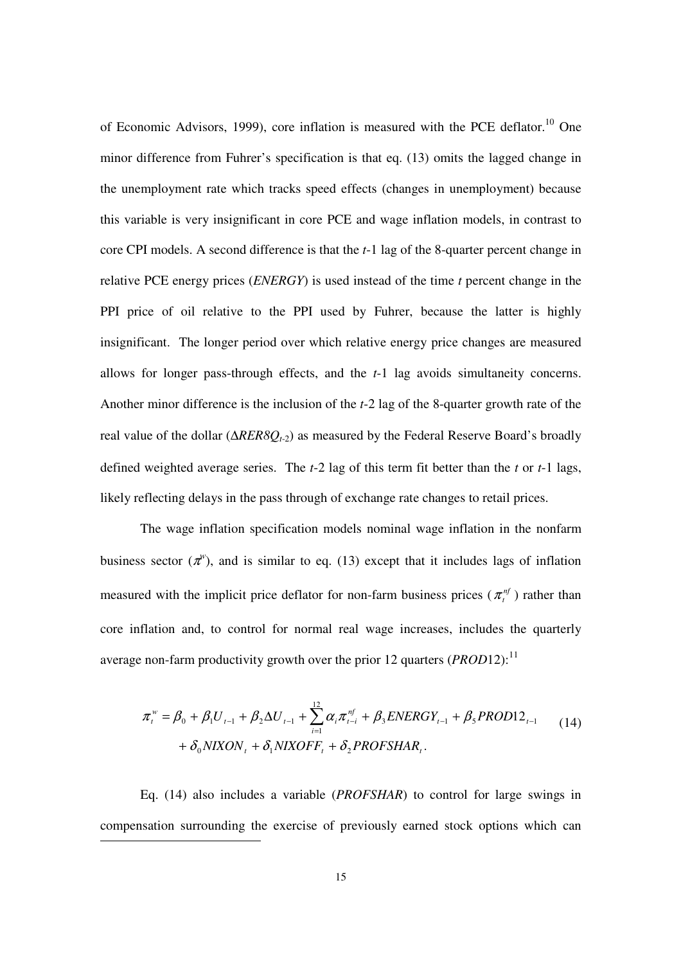of Economic Advisors, 1999), core inflation is measured with the PCE deflator.<sup>10</sup> One minor difference from Fuhrer's specification is that eq. (13) omits the lagged change in the unemployment rate which tracks speed effects (changes in unemployment) because this variable is very insignificant in core PCE and wage inflation models, in contrast to core CPI models. A second difference is that the *t*-1 lag of the 8-quarter percent change in relative PCE energy prices (*ENERGY*) is used instead of the time *t* percent change in the PPI price of oil relative to the PPI used by Fuhrer, because the latter is highly insignificant. The longer period over which relative energy price changes are measured allows for longer pass-through effects, and the *t*-1 lag avoids simultaneity concerns. Another minor difference is the inclusion of the *t*-2 lag of the 8-quarter growth rate of the real value of the dollar (∆*RER8Q<sup>t</sup>*-2) as measured by the Federal Reserve Board's broadly defined weighted average series. The *t*-2 lag of this term fit better than the *t* or *t*-1 lags, likely reflecting delays in the pass through of exchange rate changes to retail prices.

The wage inflation specification models nominal wage inflation in the nonfarm business sector  $(\pi^w)$ , and is similar to eq. (13) except that it includes lags of inflation measured with the implicit price deflator for non-farm business prices ( $\pi_t^{nf}$ ) rather than core inflation and, to control for normal real wage increases, includes the quarterly average non-farm productivity growth over the prior 12 quarters  $(PROD12)$ <sup>11</sup>

$$
\pi_t^w = \beta_0 + \beta_1 U_{t-1} + \beta_2 \Delta U_{t-1} + \sum_{i=1}^{12} \alpha_i \pi_{t-i}^{wf} + \beta_3 ENERGY_{t-1} + \beta_5 PROD12_{t-1}
$$
\n
$$
+ \delta_0 NIXON_t + \delta_1 NIXOFF_t + \delta_2 PROFSHAR_t.
$$
\n(14)

 Eq. (14) also includes a variable (*PROFSHAR*) to control for large swings in compensation surrounding the exercise of previously earned stock options which can

 $\overline{a}$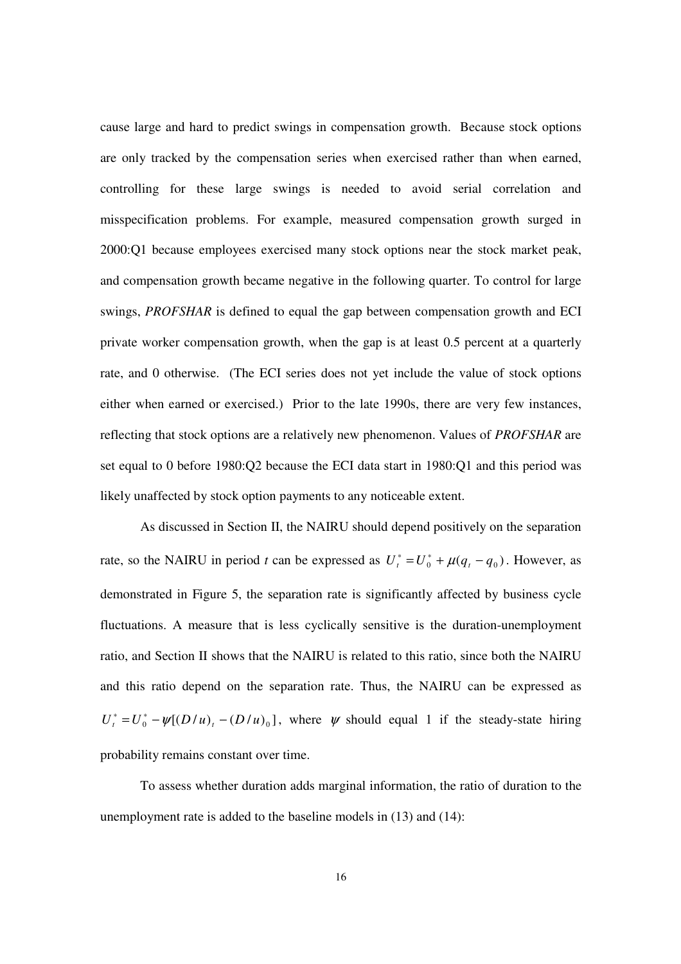cause large and hard to predict swings in compensation growth. Because stock options are only tracked by the compensation series when exercised rather than when earned, controlling for these large swings is needed to avoid serial correlation and misspecification problems. For example, measured compensation growth surged in 2000:Q1 because employees exercised many stock options near the stock market peak, and compensation growth became negative in the following quarter. To control for large swings, *PROFSHAR* is defined to equal the gap between compensation growth and ECI private worker compensation growth, when the gap is at least 0.5 percent at a quarterly rate, and 0 otherwise. (The ECI series does not yet include the value of stock options either when earned or exercised.) Prior to the late 1990s, there are very few instances, reflecting that stock options are a relatively new phenomenon. Values of *PROFSHAR* are set equal to 0 before 1980:Q2 because the ECI data start in 1980:Q1 and this period was likely unaffected by stock option payments to any noticeable extent.

As discussed in Section II, the NAIRU should depend positively on the separation rate, so the NAIRU in period *t* can be expressed as  $U_t^* = U_0^* + \mu(q_t - q_0)$ . However, as demonstrated in Figure 5, the separation rate is significantly affected by business cycle fluctuations. A measure that is less cyclically sensitive is the duration-unemployment ratio, and Section II shows that the NAIRU is related to this ratio, since both the NAIRU and this ratio depend on the separation rate. Thus, the NAIRU can be expressed as  $U_t^* = U_0^* - \psi[(D/u)_t - (D/u)_0]$ , where  $\psi$  should equal 1 if the steady-state hiring probability remains constant over time.

To assess whether duration adds marginal information, the ratio of duration to the unemployment rate is added to the baseline models in (13) and (14):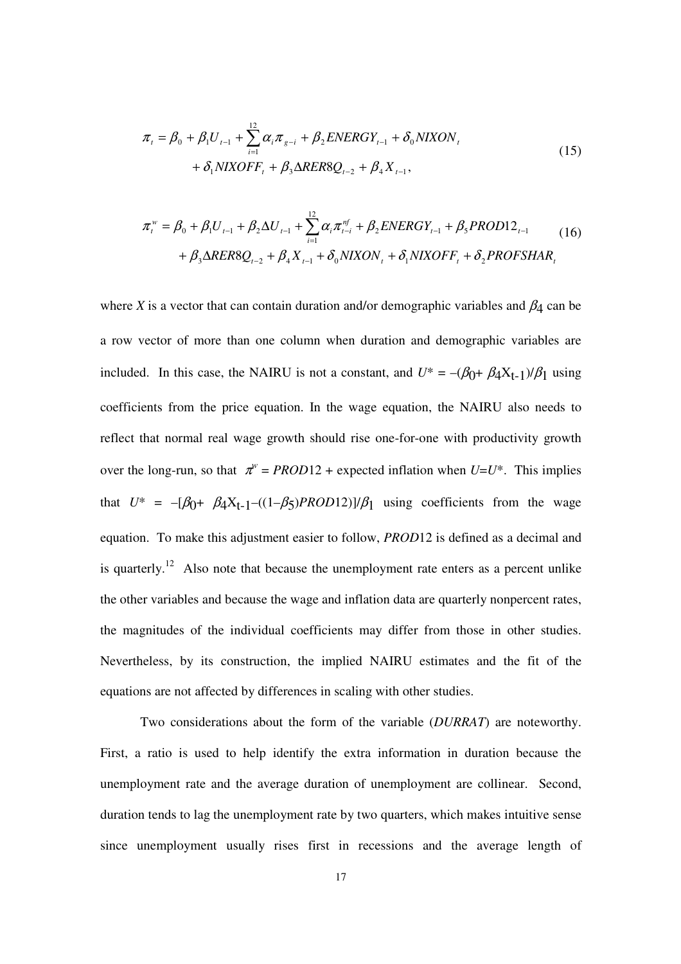$$
\pi_{t} = \beta_{0} + \beta_{1}U_{t-1} + \sum_{i=1}^{12} \alpha_{i}\pi_{g-i} + \beta_{2}ENERGY_{t-1} + \delta_{0} NIXON_{t} + \delta_{1} NIXOFF_{t} + \beta_{3} \Delta RER8Q_{t-2} + \beta_{4}X_{t-1},
$$
\n(15)

$$
\pi_i^{\text{w}} = \beta_0 + \beta_1 U_{t-1} + \beta_2 \Delta U_{t-1} + \sum_{i=1}^{12} \alpha_i \pi_{t-i}^{\text{nf}} + \beta_2 ENERGY_{t-1} + \beta_3 PROD12_{t-1} + \beta_3 \Delta RER8Q_{t-2} + \beta_4 X_{t-1} + \delta_0 NIXON_t + \delta_1 NIXOFF_t + \delta_2 PROFSHAR_t
$$
\n(16)

where *X* is a vector that can contain duration and/or demographic variables and  $\beta_4$  can be a row vector of more than one column when duration and demographic variables are included. In this case, the NAIRU is not a constant, and  $U^* = -(\beta_0 + \beta_4 X_{t-1})/\beta_1$  using coefficients from the price equation. In the wage equation, the NAIRU also needs to reflect that normal real wage growth should rise one-for-one with productivity growth over the long-run, so that  $\pi^w = PROD12$  + expected inflation when  $U = U^*$ . This implies that  $U^* = -[\beta_0 + \beta_4 X_{t-1} - ((1-\beta_5)PROD12)]/\beta_1$  using coefficients from the wage equation. To make this adjustment easier to follow, *PROD*12 is defined as a decimal and is quarterly.<sup>12</sup> Also note that because the unemployment rate enters as a percent unlike the other variables and because the wage and inflation data are quarterly nonpercent rates, the magnitudes of the individual coefficients may differ from those in other studies. Nevertheless, by its construction, the implied NAIRU estimates and the fit of the equations are not affected by differences in scaling with other studies.

 Two considerations about the form of the variable (*DURRAT*) are noteworthy. First, a ratio is used to help identify the extra information in duration because the unemployment rate and the average duration of unemployment are collinear. Second, duration tends to lag the unemployment rate by two quarters, which makes intuitive sense since unemployment usually rises first in recessions and the average length of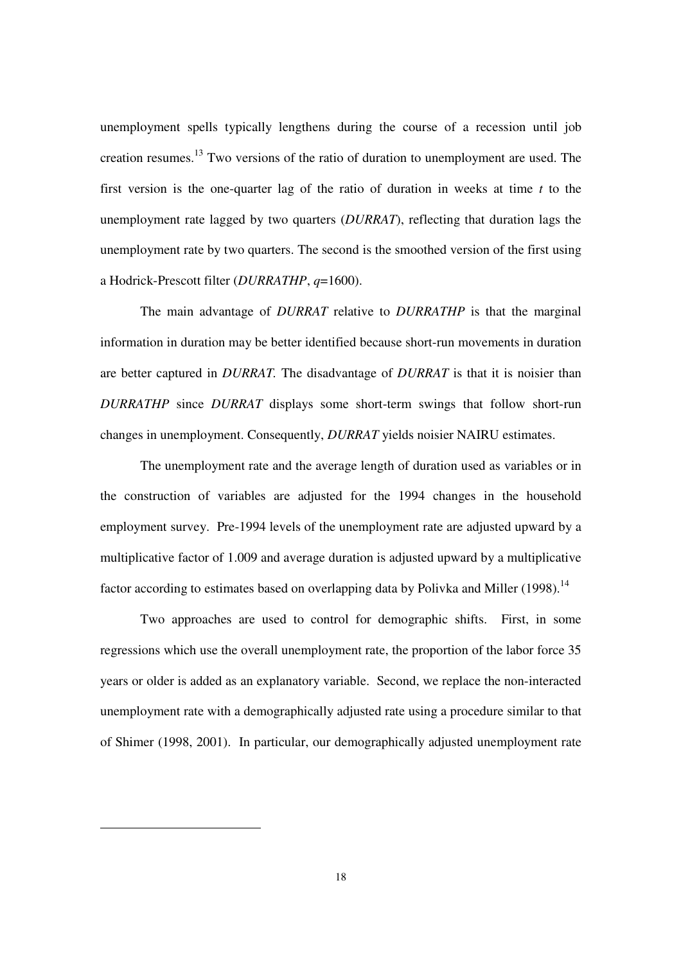unemployment spells typically lengthens during the course of a recession until job creation resumes.<sup>13</sup> Two versions of the ratio of duration to unemployment are used. The first version is the one-quarter lag of the ratio of duration in weeks at time *t* to the unemployment rate lagged by two quarters (*DURRAT*), reflecting that duration lags the unemployment rate by two quarters. The second is the smoothed version of the first using a Hodrick-Prescott filter (*DURRATHP*, *q*=1600).

The main advantage of *DURRAT* relative to *DURRATHP* is that the marginal information in duration may be better identified because short-run movements in duration are better captured in *DURRAT.* The disadvantage of *DURRAT* is that it is noisier than *DURRATHP* since *DURRAT* displays some short-term swings that follow short-run changes in unemployment. Consequently, *DURRAT* yields noisier NAIRU estimates.

The unemployment rate and the average length of duration used as variables or in the construction of variables are adjusted for the 1994 changes in the household employment survey. Pre-1994 levels of the unemployment rate are adjusted upward by a multiplicative factor of 1.009 and average duration is adjusted upward by a multiplicative factor according to estimates based on overlapping data by Polivka and Miller (1998).<sup>14</sup>

 Two approaches are used to control for demographic shifts. First, in some regressions which use the overall unemployment rate, the proportion of the labor force 35 years or older is added as an explanatory variable. Second, we replace the non-interacted unemployment rate with a demographically adjusted rate using a procedure similar to that of Shimer (1998, 2001). In particular, our demographically adjusted unemployment rate

-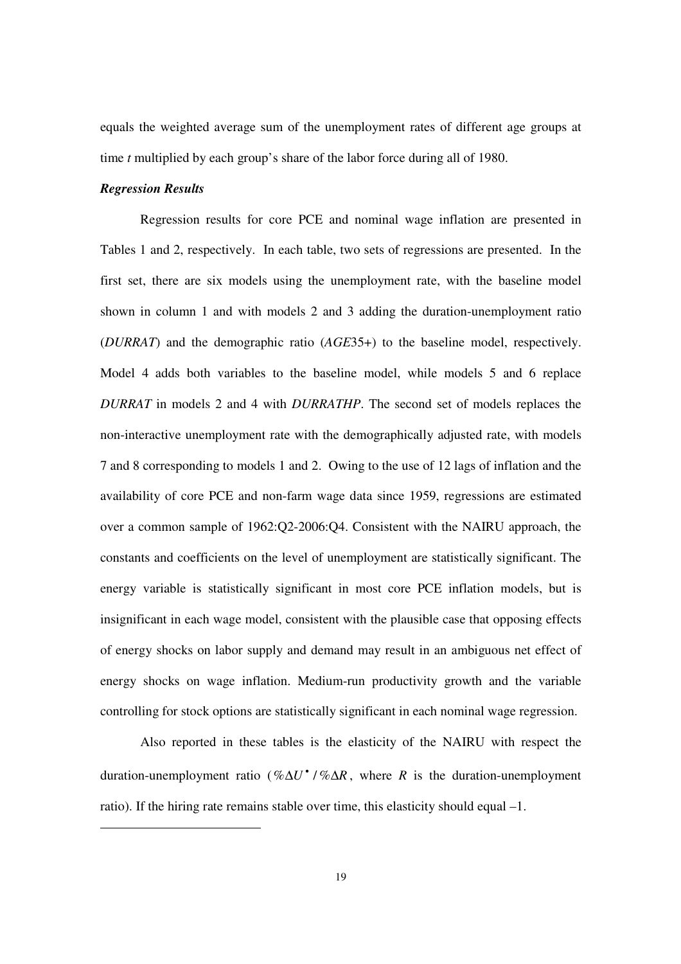equals the weighted average sum of the unemployment rates of different age groups at time *t* multiplied by each group's share of the labor force during all of 1980.

# *Regression Results*

-

Regression results for core PCE and nominal wage inflation are presented in Tables 1 and 2, respectively. In each table, two sets of regressions are presented. In the first set, there are six models using the unemployment rate, with the baseline model shown in column 1 and with models 2 and 3 adding the duration-unemployment ratio (*DURRAT*) and the demographic ratio (*AGE*35+) to the baseline model, respectively. Model 4 adds both variables to the baseline model, while models 5 and 6 replace *DURRAT* in models 2 and 4 with *DURRATHP*. The second set of models replaces the non-interactive unemployment rate with the demographically adjusted rate, with models 7 and 8 corresponding to models 1 and 2. Owing to the use of 12 lags of inflation and the availability of core PCE and non-farm wage data since 1959, regressions are estimated over a common sample of 1962:Q2-2006:Q4. Consistent with the NAIRU approach, the constants and coefficients on the level of unemployment are statistically significant. The energy variable is statistically significant in most core PCE inflation models, but is insignificant in each wage model, consistent with the plausible case that opposing effects of energy shocks on labor supply and demand may result in an ambiguous net effect of energy shocks on wage inflation. Medium-run productivity growth and the variable controlling for stock options are statistically significant in each nominal wage regression.

Also reported in these tables is the elasticity of the NAIRU with respect the duration-unemployment ratio ( $% \Delta U^* / \% \Delta R$ , where *R* is the duration-unemployment ratio). If the hiring rate remains stable over time, this elasticity should equal –1.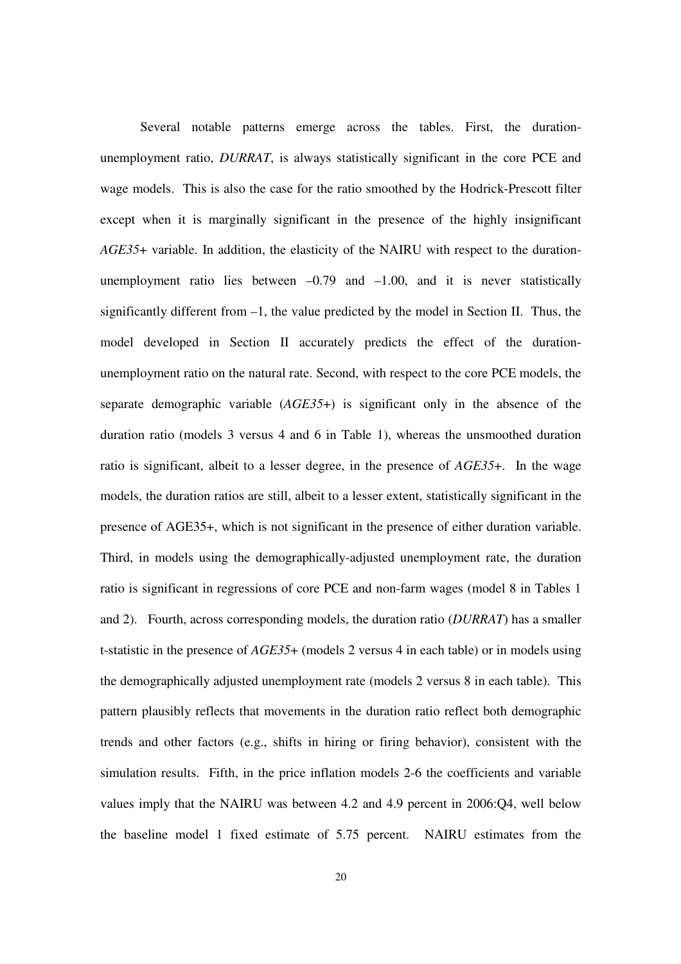Several notable patterns emerge across the tables. First, the durationunemployment ratio, *DURRAT*, is always statistically significant in the core PCE and wage models. This is also the case for the ratio smoothed by the Hodrick-Prescott filter except when it is marginally significant in the presence of the highly insignificant *AGE35*+ variable. In addition, the elasticity of the NAIRU with respect to the durationunemployment ratio lies between  $-0.79$  and  $-1.00$ , and it is never statistically significantly different from –1, the value predicted by the model in Section II. Thus, the model developed in Section II accurately predicts the effect of the durationunemployment ratio on the natural rate. Second, with respect to the core PCE models, the separate demographic variable (*AGE35*+) is significant only in the absence of the duration ratio (models 3 versus 4 and 6 in Table 1), whereas the unsmoothed duration ratio is significant, albeit to a lesser degree, in the presence of *AGE35*+. In the wage models, the duration ratios are still, albeit to a lesser extent, statistically significant in the presence of AGE35+, which is not significant in the presence of either duration variable. Third, in models using the demographically-adjusted unemployment rate, the duration ratio is significant in regressions of core PCE and non-farm wages (model 8 in Tables 1 and 2). Fourth, across corresponding models, the duration ratio (*DURRAT*) has a smaller t-statistic in the presence of *AGE35*+ (models 2 versus 4 in each table) or in models using the demographically adjusted unemployment rate (models 2 versus 8 in each table). This pattern plausibly reflects that movements in the duration ratio reflect both demographic trends and other factors (e.g., shifts in hiring or firing behavior), consistent with the simulation results. Fifth, in the price inflation models 2-6 the coefficients and variable values imply that the NAIRU was between 4.2 and 4.9 percent in 2006:Q4, well below the baseline model 1 fixed estimate of 5.75 percent. NAIRU estimates from the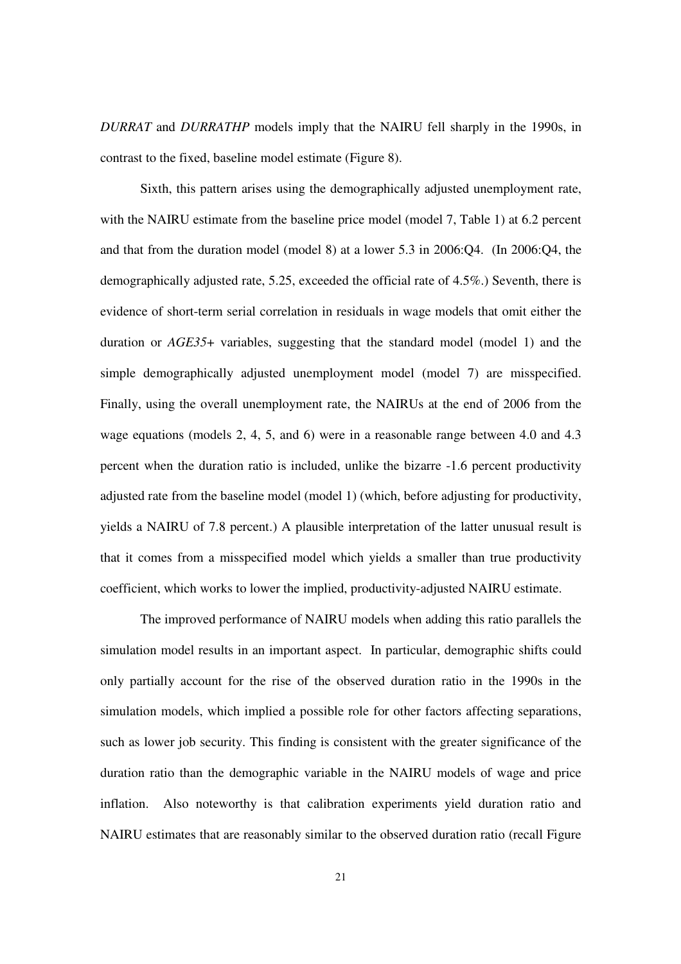*DURRAT* and *DURRATHP* models imply that the NAIRU fell sharply in the 1990s, in contrast to the fixed, baseline model estimate (Figure 8).

Sixth, this pattern arises using the demographically adjusted unemployment rate, with the NAIRU estimate from the baseline price model (model 7, Table 1) at 6.2 percent and that from the duration model (model 8) at a lower 5.3 in 2006:Q4. (In 2006:Q4, the demographically adjusted rate, 5.25, exceeded the official rate of 4.5%.) Seventh, there is evidence of short-term serial correlation in residuals in wage models that omit either the duration or *AGE35*+ variables, suggesting that the standard model (model 1) and the simple demographically adjusted unemployment model (model 7) are misspecified. Finally, using the overall unemployment rate, the NAIRUs at the end of 2006 from the wage equations (models 2, 4, 5, and 6) were in a reasonable range between 4.0 and 4.3 percent when the duration ratio is included, unlike the bizarre -1.6 percent productivity adjusted rate from the baseline model (model 1) (which, before adjusting for productivity, yields a NAIRU of 7.8 percent.) A plausible interpretation of the latter unusual result is that it comes from a misspecified model which yields a smaller than true productivity coefficient, which works to lower the implied, productivity-adjusted NAIRU estimate.

The improved performance of NAIRU models when adding this ratio parallels the simulation model results in an important aspect. In particular, demographic shifts could only partially account for the rise of the observed duration ratio in the 1990s in the simulation models, which implied a possible role for other factors affecting separations, such as lower job security. This finding is consistent with the greater significance of the duration ratio than the demographic variable in the NAIRU models of wage and price inflation. Also noteworthy is that calibration experiments yield duration ratio and NAIRU estimates that are reasonably similar to the observed duration ratio (recall Figure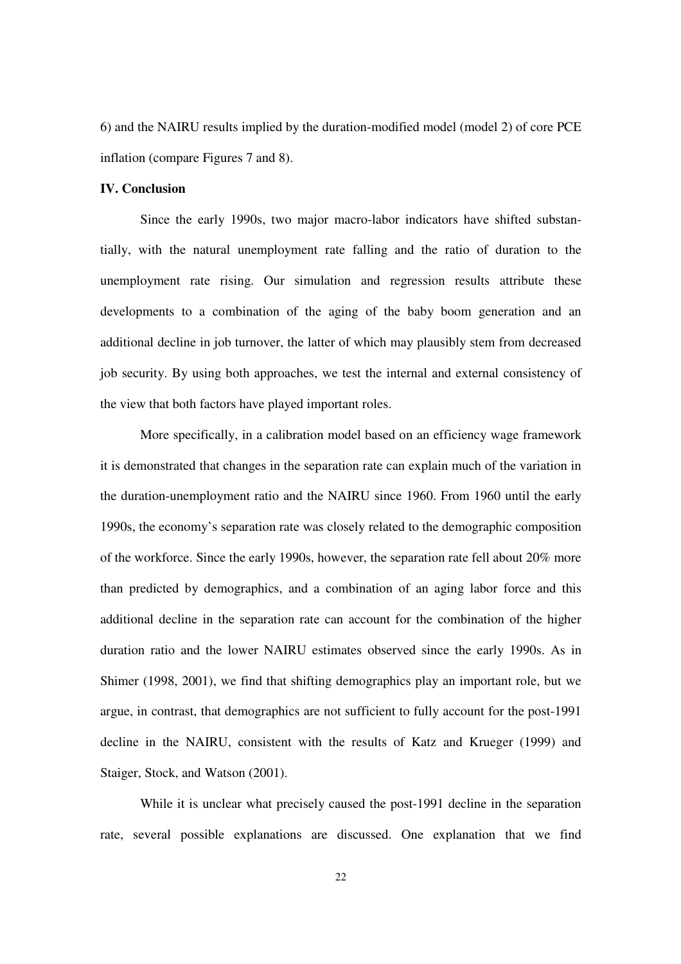6) and the NAIRU results implied by the duration-modified model (model 2) of core PCE inflation (compare Figures 7 and 8).

## **IV. Conclusion**

Since the early 1990s, two major macro-labor indicators have shifted substantially, with the natural unemployment rate falling and the ratio of duration to the unemployment rate rising. Our simulation and regression results attribute these developments to a combination of the aging of the baby boom generation and an additional decline in job turnover, the latter of which may plausibly stem from decreased job security. By using both approaches, we test the internal and external consistency of the view that both factors have played important roles.

More specifically, in a calibration model based on an efficiency wage framework it is demonstrated that changes in the separation rate can explain much of the variation in the duration-unemployment ratio and the NAIRU since 1960. From 1960 until the early 1990s, the economy's separation rate was closely related to the demographic composition of the workforce. Since the early 1990s, however, the separation rate fell about 20% more than predicted by demographics, and a combination of an aging labor force and this additional decline in the separation rate can account for the combination of the higher duration ratio and the lower NAIRU estimates observed since the early 1990s. As in Shimer (1998, 2001), we find that shifting demographics play an important role, but we argue, in contrast, that demographics are not sufficient to fully account for the post-1991 decline in the NAIRU, consistent with the results of Katz and Krueger (1999) and Staiger, Stock, and Watson (2001).

While it is unclear what precisely caused the post-1991 decline in the separation rate, several possible explanations are discussed. One explanation that we find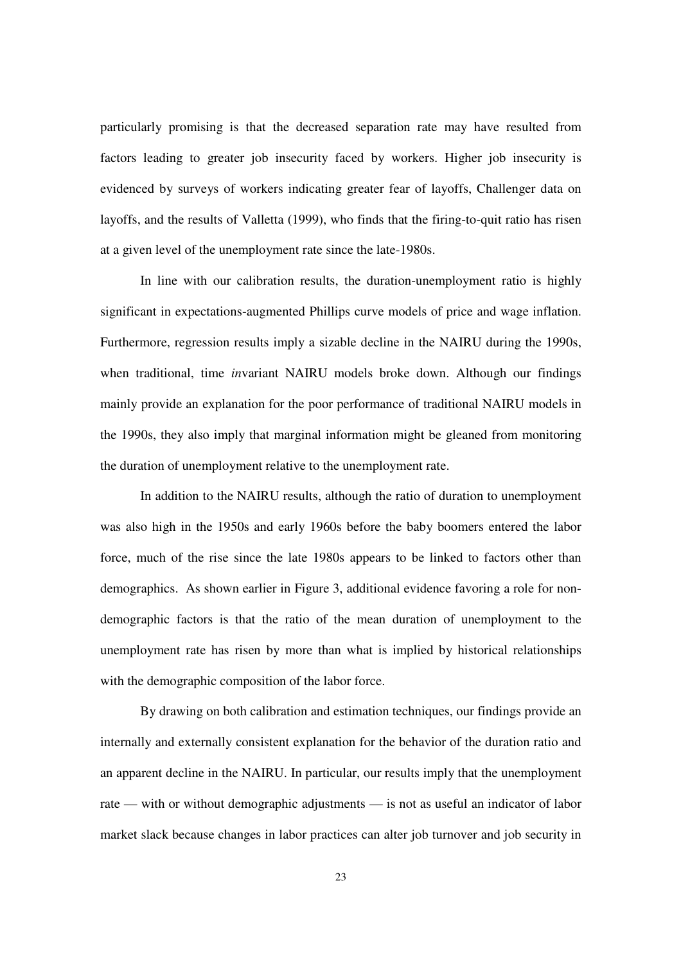particularly promising is that the decreased separation rate may have resulted from factors leading to greater job insecurity faced by workers. Higher job insecurity is evidenced by surveys of workers indicating greater fear of layoffs, Challenger data on layoffs, and the results of Valletta (1999), who finds that the firing-to-quit ratio has risen at a given level of the unemployment rate since the late-1980s.

In line with our calibration results, the duration-unemployment ratio is highly significant in expectations-augmented Phillips curve models of price and wage inflation. Furthermore, regression results imply a sizable decline in the NAIRU during the 1990s, when traditional, time *in*variant NAIRU models broke down. Although our findings mainly provide an explanation for the poor performance of traditional NAIRU models in the 1990s, they also imply that marginal information might be gleaned from monitoring the duration of unemployment relative to the unemployment rate.

In addition to the NAIRU results, although the ratio of duration to unemployment was also high in the 1950s and early 1960s before the baby boomers entered the labor force, much of the rise since the late 1980s appears to be linked to factors other than demographics. As shown earlier in Figure 3, additional evidence favoring a role for nondemographic factors is that the ratio of the mean duration of unemployment to the unemployment rate has risen by more than what is implied by historical relationships with the demographic composition of the labor force.

By drawing on both calibration and estimation techniques, our findings provide an internally and externally consistent explanation for the behavior of the duration ratio and an apparent decline in the NAIRU. In particular, our results imply that the unemployment rate — with or without demographic adjustments — is not as useful an indicator of labor market slack because changes in labor practices can alter job turnover and job security in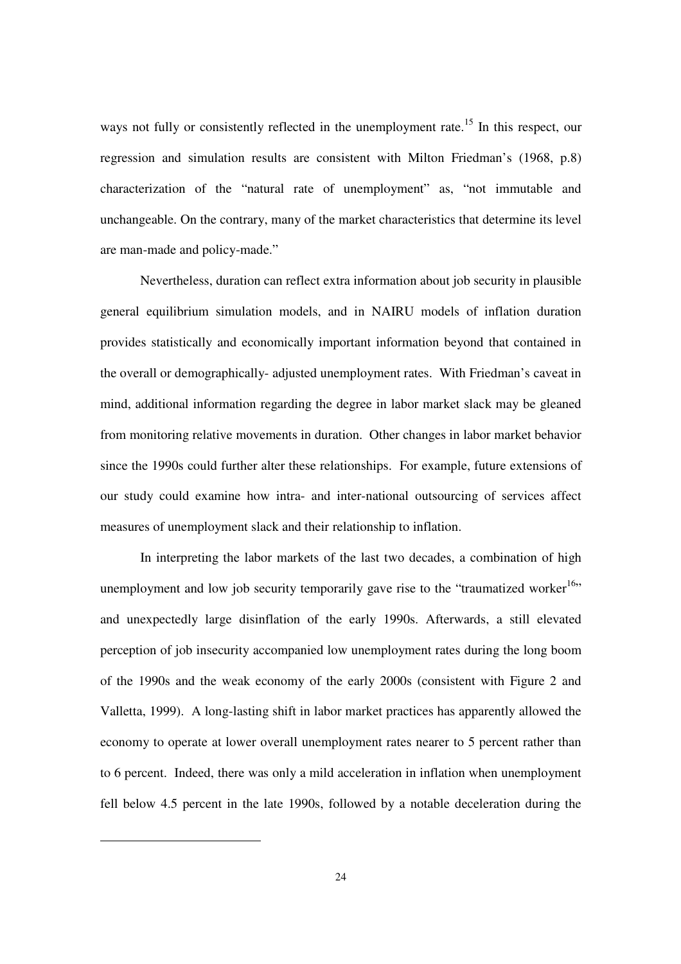ways not fully or consistently reflected in the unemployment rate.<sup>15</sup> In this respect, our regression and simulation results are consistent with Milton Friedman's (1968, p.8) characterization of the "natural rate of unemployment" as, "not immutable and unchangeable. On the contrary, many of the market characteristics that determine its level are man-made and policy-made."

Nevertheless, duration can reflect extra information about job security in plausible general equilibrium simulation models, and in NAIRU models of inflation duration provides statistically and economically important information beyond that contained in the overall or demographically- adjusted unemployment rates. With Friedman's caveat in mind, additional information regarding the degree in labor market slack may be gleaned from monitoring relative movements in duration. Other changes in labor market behavior since the 1990s could further alter these relationships. For example, future extensions of our study could examine how intra- and inter-national outsourcing of services affect measures of unemployment slack and their relationship to inflation.

In interpreting the labor markets of the last two decades, a combination of high unemployment and low job security temporarily gave rise to the "traumatized worker $16$ " and unexpectedly large disinflation of the early 1990s. Afterwards, a still elevated perception of job insecurity accompanied low unemployment rates during the long boom of the 1990s and the weak economy of the early 2000s (consistent with Figure 2 and Valletta, 1999). A long-lasting shift in labor market practices has apparently allowed the economy to operate at lower overall unemployment rates nearer to 5 percent rather than to 6 percent. Indeed, there was only a mild acceleration in inflation when unemployment fell below 4.5 percent in the late 1990s, followed by a notable deceleration during the

 $\overline{a}$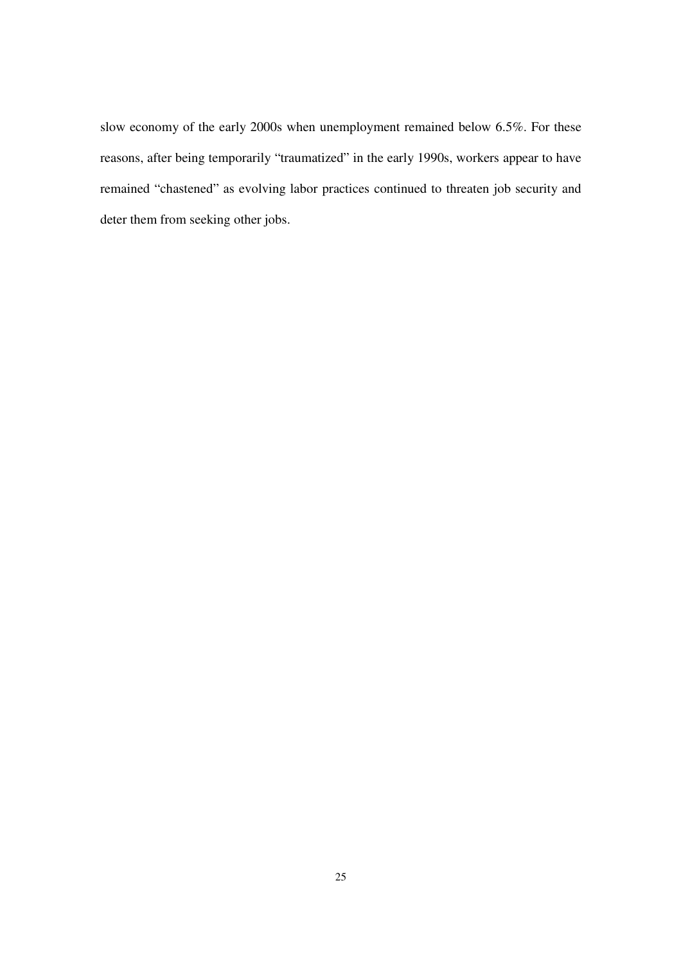slow economy of the early 2000s when unemployment remained below 6.5%. For these reasons, after being temporarily "traumatized" in the early 1990s, workers appear to have remained "chastened" as evolving labor practices continued to threaten job security and deter them from seeking other jobs.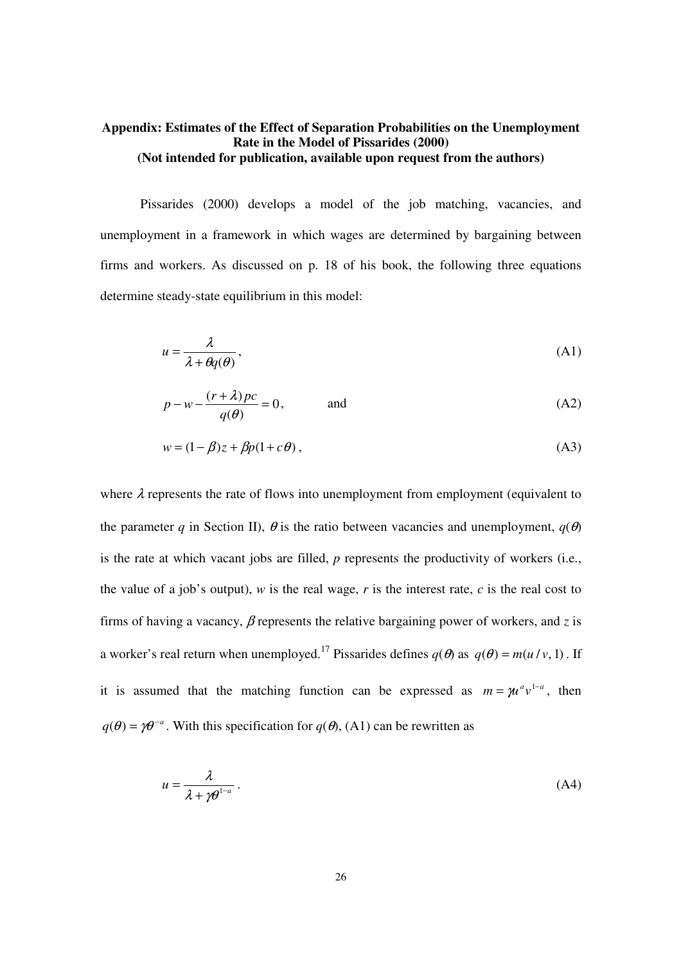# **Appendix: Estimates of the Effect of Separation Probabilities on the Unemployment Rate in the Model of Pissarides (2000) (Not intended for publication, available upon request from the authors)**

Pissarides (2000) develops a model of the job matching, vacancies, and unemployment in a framework in which wages are determined by bargaining between firms and workers. As discussed on p. 18 of his book, the following three equations determine steady-state equilibrium in this model:

$$
u = \frac{\lambda}{\lambda + \theta q(\theta)},
$$
\n(A1)

$$
p - w - \frac{(r + \lambda)pc}{q(\theta)} = 0, \qquad \text{and} \tag{A2}
$$

$$
w = (1 - \beta)z + \beta p(1 + c\theta),
$$
\n(A3)

where  $\lambda$  represents the rate of flows into unemployment from employment (equivalent to the parameter *q* in Section II),  $\theta$  is the ratio between vacancies and unemployment,  $q(\theta)$ is the rate at which vacant jobs are filled, *p* represents the productivity of workers (i.e., the value of a job's output),  $w$  is the real wage,  $r$  is the interest rate,  $c$  is the real cost to firms of having a vacancy, β represents the relative bargaining power of workers, and *z* is a worker's real return when unemployed.<sup>17</sup> Pissarides defines  $q(\theta)$  as  $q(\theta) = m(u/v, 1)$ . If it is assumed that the matching function can be expressed as  $m = \mu^a v^{1-a}$ , then  $q(\theta) = \gamma \theta^{-a}$ . With this specification for  $q(\theta)$ , (A1) can be rewritten as

$$
u = \frac{\lambda}{\lambda + \gamma \theta^{1-a}} \,. \tag{A4}
$$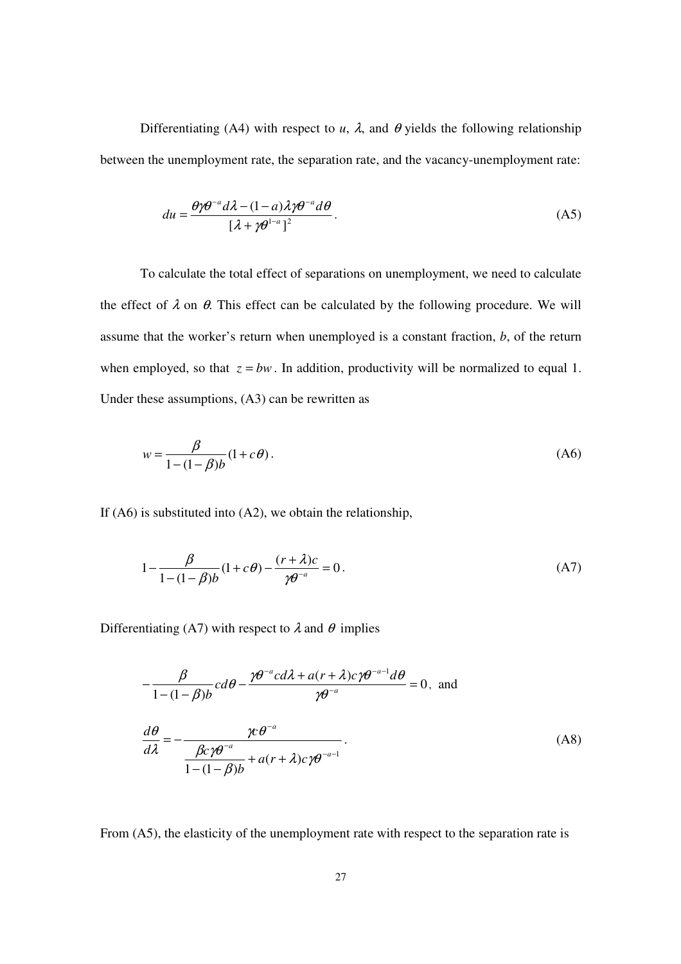Differentiating (A4) with respect to  $u$ ,  $\lambda$ , and  $\theta$  yields the following relationship between the unemployment rate, the separation rate, and the vacancy-unemployment rate:

$$
du = \frac{\theta \gamma \theta^{-a} d\lambda - (1 - a)\lambda \gamma \theta^{-a} d\theta}{[\lambda + \gamma \theta^{1-a}]^2}.
$$
 (A5)

 To calculate the total effect of separations on unemployment, we need to calculate the effect of  $\lambda$  on  $\theta$ . This effect can be calculated by the following procedure. We will assume that the worker's return when unemployed is a constant fraction, *b*, of the return when employed, so that  $z = bw$ . In addition, productivity will be normalized to equal 1. Under these assumptions, (A3) can be rewritten as

$$
w = \frac{\beta}{1 - (1 - \beta)b} (1 + c\theta). \tag{A6}
$$

If  $(A6)$  is substituted into  $(A2)$ , we obtain the relationship,

$$
1 - \frac{\beta}{1 - (1 - \beta)b} (1 + c\theta) - \frac{(r + \lambda)c}{\gamma \theta^{-a}} = 0.
$$
 (A7)

Differentiating (A7) with respect to  $\lambda$  and  $\theta$  implies

$$
-\frac{\beta}{1 - (1 - \beta)b}cd\theta - \frac{\gamma \theta^{-a}cd\lambda + a(r + \lambda)c\gamma \theta^{-a-1}d\theta}{\gamma \theta^{-a}} = 0, \text{ and}
$$

$$
\frac{d\theta}{d\lambda} = -\frac{\gamma c\theta^{-a}}{\frac{\beta c\gamma \theta^{-a}}{1 - (1 - \beta)b} + a(r + \lambda)c\gamma \theta^{-a-1}}.
$$
(A8)

From (A5), the elasticity of the unemployment rate with respect to the separation rate is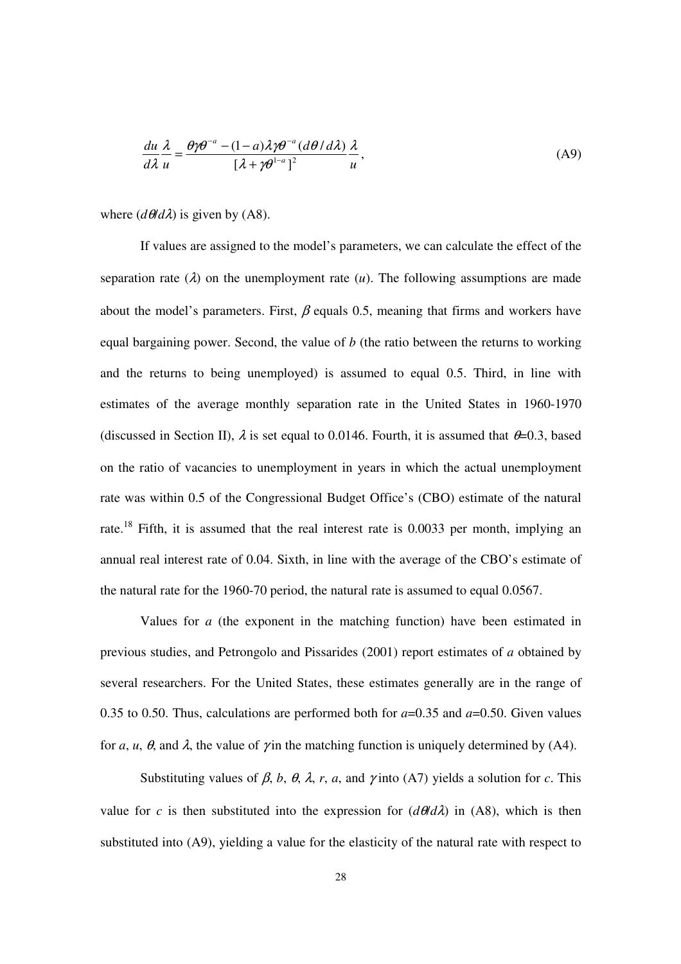$$
\frac{du}{d\lambda}\frac{\lambda}{u} = \frac{\theta\gamma\theta^{-a} - (1-a)\lambda\gamma\theta^{-a}(d\theta/d\lambda)}{[\lambda + \gamma\theta^{1-a}]^2}\frac{\lambda}{u},
$$
\n(A9)

where  $(d\theta/d\lambda)$  is given by (A8).

If values are assigned to the model's parameters, we can calculate the effect of the separation rate  $(\lambda)$  on the unemployment rate  $(u)$ . The following assumptions are made about the model's parameters. First,  $\beta$  equals 0.5, meaning that firms and workers have equal bargaining power. Second, the value of *b* (the ratio between the returns to working and the returns to being unemployed) is assumed to equal 0.5. Third, in line with estimates of the average monthly separation rate in the United States in 1960-1970 (discussed in Section II),  $\lambda$  is set equal to 0.0146. Fourth, it is assumed that  $\theta$ =0.3, based on the ratio of vacancies to unemployment in years in which the actual unemployment rate was within 0.5 of the Congressional Budget Office's (CBO) estimate of the natural rate.<sup>18</sup> Fifth, it is assumed that the real interest rate is 0.0033 per month, implying an annual real interest rate of 0.04. Sixth, in line with the average of the CBO's estimate of the natural rate for the 1960-70 period, the natural rate is assumed to equal 0.0567.

Values for *a* (the exponent in the matching function) have been estimated in previous studies, and Petrongolo and Pissarides (2001) report estimates of *a* obtained by several researchers. For the United States, these estimates generally are in the range of 0.35 to 0.50. Thus, calculations are performed both for *a*=0.35 and *a*=0.50. Given values for *a*, *u*,  $\theta$ , and  $\lambda$ , the value of  $\gamma$  in the matching function is uniquely determined by (A4).

Substituting values of  $\beta$ ,  $b$ ,  $\theta$ ,  $\lambda$ ,  $r$ ,  $a$ , and  $\gamma$  into (A7) yields a solution for *c*. This value for *c* is then substituted into the expression for  $(d\theta/d\lambda)$  in (A8), which is then substituted into (A9), yielding a value for the elasticity of the natural rate with respect to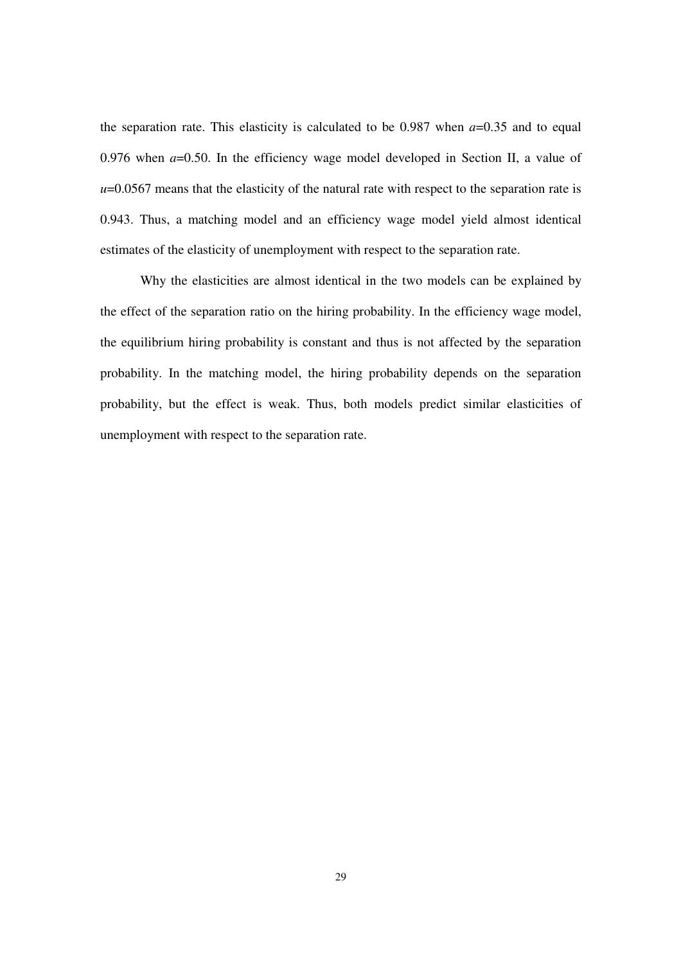the separation rate. This elasticity is calculated to be  $0.987$  when  $a=0.35$  and to equal 0.976 when *a*=0.50. In the efficiency wage model developed in Section II, a value of  $u=0.0567$  means that the elasticity of the natural rate with respect to the separation rate is 0.943. Thus, a matching model and an efficiency wage model yield almost identical estimates of the elasticity of unemployment with respect to the separation rate.

Why the elasticities are almost identical in the two models can be explained by the effect of the separation ratio on the hiring probability. In the efficiency wage model, the equilibrium hiring probability is constant and thus is not affected by the separation probability. In the matching model, the hiring probability depends on the separation probability, but the effect is weak. Thus, both models predict similar elasticities of unemployment with respect to the separation rate.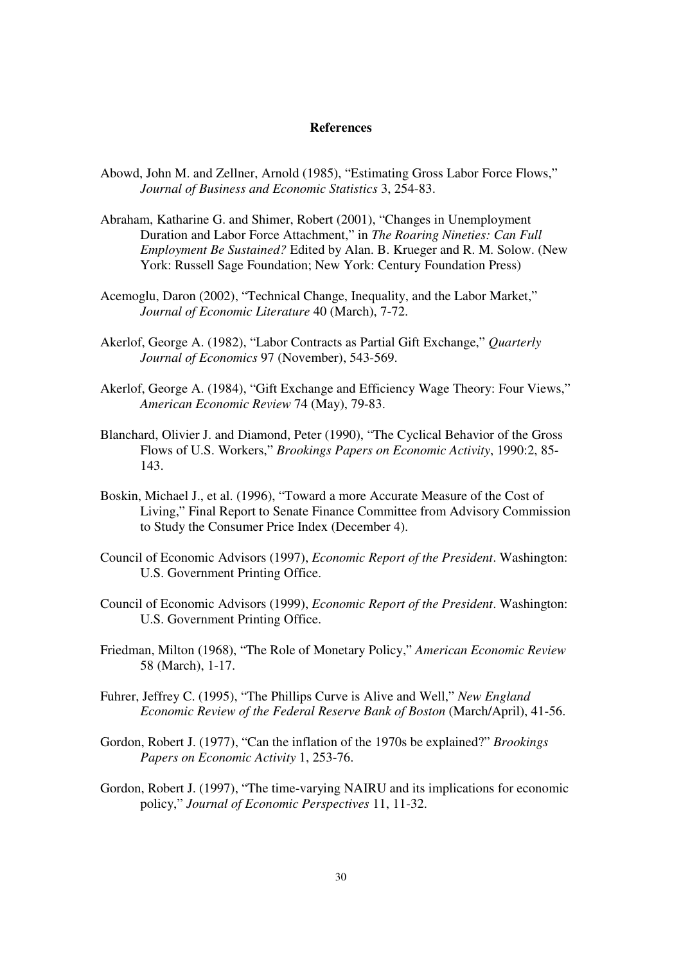## **References**

- Abowd, John M. and Zellner, Arnold (1985), "Estimating Gross Labor Force Flows," *Journal of Business and Economic Statistics* 3, 254-83.
- Abraham, Katharine G. and Shimer, Robert (2001), "Changes in Unemployment Duration and Labor Force Attachment," in *The Roaring Nineties: Can Full Employment Be Sustained?* Edited by Alan. B. Krueger and R. M. Solow. (New York: Russell Sage Foundation; New York: Century Foundation Press)
- Acemoglu, Daron (2002), "Technical Change, Inequality, and the Labor Market," *Journal of Economic Literature* 40 (March), 7-72.
- Akerlof, George A. (1982), "Labor Contracts as Partial Gift Exchange," *Quarterly Journal of Economics* 97 (November), 543-569.
- Akerlof, George A. (1984), "Gift Exchange and Efficiency Wage Theory: Four Views," *American Economic Review* 74 (May), 79-83.
- Blanchard, Olivier J. and Diamond, Peter (1990), "The Cyclical Behavior of the Gross Flows of U.S. Workers," *Brookings Papers on Economic Activity*, 1990:2, 85- 143.
- Boskin, Michael J., et al. (1996), "Toward a more Accurate Measure of the Cost of Living," Final Report to Senate Finance Committee from Advisory Commission to Study the Consumer Price Index (December 4).
- Council of Economic Advisors (1997), *Economic Report of the President*. Washington: U.S. Government Printing Office.
- Council of Economic Advisors (1999), *Economic Report of the President*. Washington: U.S. Government Printing Office.
- Friedman, Milton (1968), "The Role of Monetary Policy," *American Economic Review* 58 (March), 1-17.
- Fuhrer, Jeffrey C. (1995), "The Phillips Curve is Alive and Well," *New England Economic Review of the Federal Reserve Bank of Boston* (March/April), 41-56.
- Gordon, Robert J. (1977), "Can the inflation of the 1970s be explained?" *Brookings Papers on Economic Activity* 1, 253-76.
- Gordon, Robert J. (1997), "The time-varying NAIRU and its implications for economic policy," *Journal of Economic Perspectives* 11, 11-32.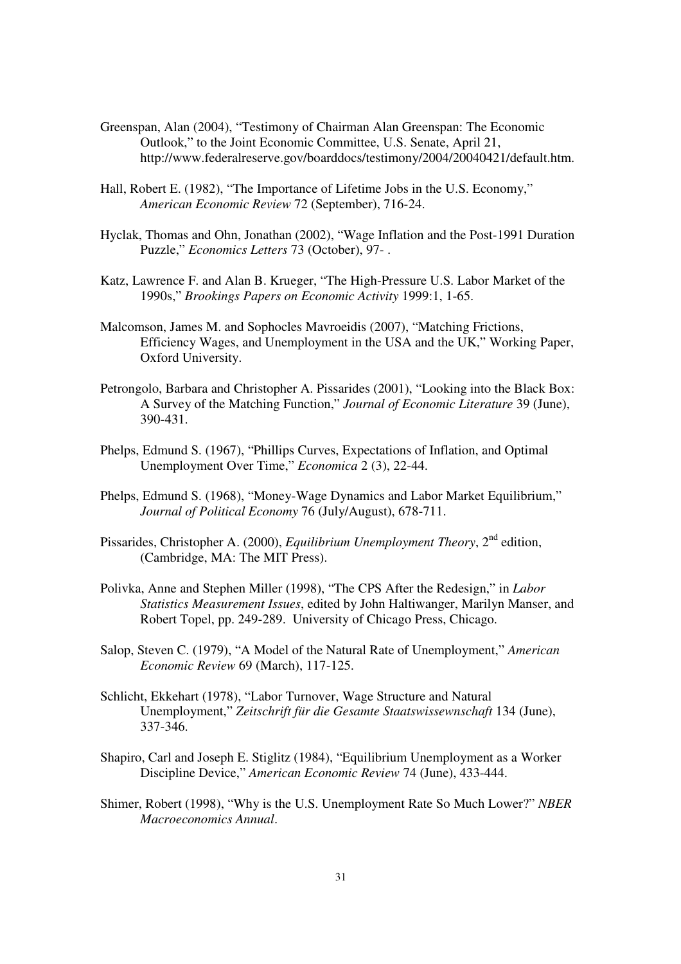- Greenspan, Alan (2004), "Testimony of Chairman Alan Greenspan: The Economic Outlook," to the Joint Economic Committee, U.S. Senate, April 21, http://www.federalreserve.gov/boarddocs/testimony/2004/20040421/default.htm.
- Hall, Robert E. (1982), "The Importance of Lifetime Jobs in the U.S. Economy," *American Economic Review* 72 (September), 716-24.
- Hyclak, Thomas and Ohn, Jonathan (2002), "Wage Inflation and the Post-1991 Duration Puzzle," *Economics Letters* 73 (October), 97- .
- Katz, Lawrence F. and Alan B. Krueger, "The High-Pressure U.S. Labor Market of the 1990s," *Brookings Papers on Economic Activity* 1999:1, 1-65.
- Malcomson, James M. and Sophocles Mavroeidis (2007), "Matching Frictions, Efficiency Wages, and Unemployment in the USA and the UK," Working Paper, Oxford University.
- Petrongolo, Barbara and Christopher A. Pissarides (2001), "Looking into the Black Box: A Survey of the Matching Function," *Journal of Economic Literature* 39 (June), 390-431.
- Phelps, Edmund S. (1967), "Phillips Curves, Expectations of Inflation, and Optimal Unemployment Over Time," *Economica* 2 (3), 22-44.
- Phelps, Edmund S. (1968), "Money-Wage Dynamics and Labor Market Equilibrium," *Journal of Political Economy* 76 (July/August), 678-711.
- Pissarides, Christopher A. (2000), *Equilibrium Unemployment Theory*, 2<sup>nd</sup> edition. (Cambridge, MA: The MIT Press).
- Polivka, Anne and Stephen Miller (1998), "The CPS After the Redesign," in *Labor Statistics Measurement Issues*, edited by John Haltiwanger, Marilyn Manser, and Robert Topel, pp. 249-289. University of Chicago Press, Chicago.
- Salop, Steven C. (1979), "A Model of the Natural Rate of Unemployment," *American Economic Review* 69 (March), 117-125.
- Schlicht, Ekkehart (1978), "Labor Turnover, Wage Structure and Natural Unemployment," *Zeitschrift für die Gesamte Staatswissewnschaft* 134 (June), 337-346.
- Shapiro, Carl and Joseph E. Stiglitz (1984), "Equilibrium Unemployment as a Worker Discipline Device," *American Economic Review* 74 (June), 433-444.
- Shimer, Robert (1998), "Why is the U.S. Unemployment Rate So Much Lower?" *NBER Macroeconomics Annual*.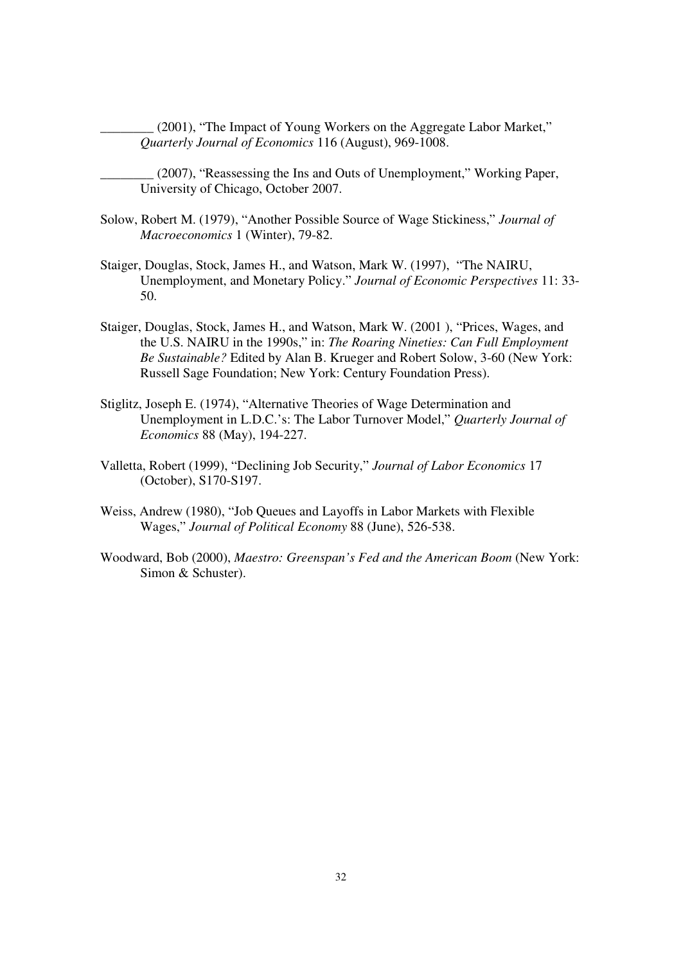\_\_\_\_\_\_\_\_ (2001), "The Impact of Young Workers on the Aggregate Labor Market," *Quarterly Journal of Economics* 116 (August), 969-1008.

\_\_\_\_\_\_\_\_ (2007), "Reassessing the Ins and Outs of Unemployment," Working Paper, University of Chicago, October 2007.

- Solow, Robert M. (1979), "Another Possible Source of Wage Stickiness," *Journal of Macroeconomics* 1 (Winter), 79-82.
- Staiger, Douglas, Stock, James H., and Watson, Mark W. (1997), "The NAIRU, Unemployment, and Monetary Policy." *Journal of Economic Perspectives* 11: 33- 50.
- Staiger, Douglas, Stock, James H., and Watson, Mark W. (2001 ), "Prices, Wages, and the U.S. NAIRU in the 1990s," in: *The Roaring Nineties: Can Full Employment Be Sustainable?* Edited by Alan B. Krueger and Robert Solow, 3-60 (New York: Russell Sage Foundation; New York: Century Foundation Press).
- Stiglitz, Joseph E. (1974), "Alternative Theories of Wage Determination and Unemployment in L.D.C.'s: The Labor Turnover Model," *Quarterly Journal of Economics* 88 (May), 194-227.
- Valletta, Robert (1999), "Declining Job Security," *Journal of Labor Economics* 17 (October), S170-S197.
- Weiss, Andrew (1980), "Job Queues and Layoffs in Labor Markets with Flexible Wages," *Journal of Political Economy* 88 (June), 526-538.
- Woodward, Bob (2000), *Maestro: Greenspan's Fed and the American Boom* (New York: Simon & Schuster).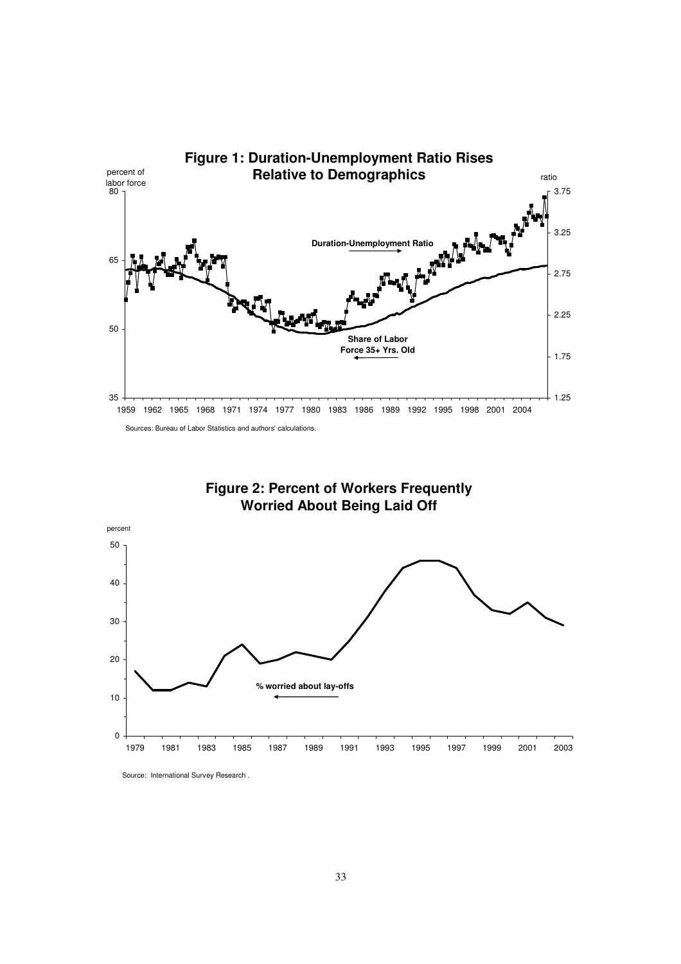





Source: International Survey Research .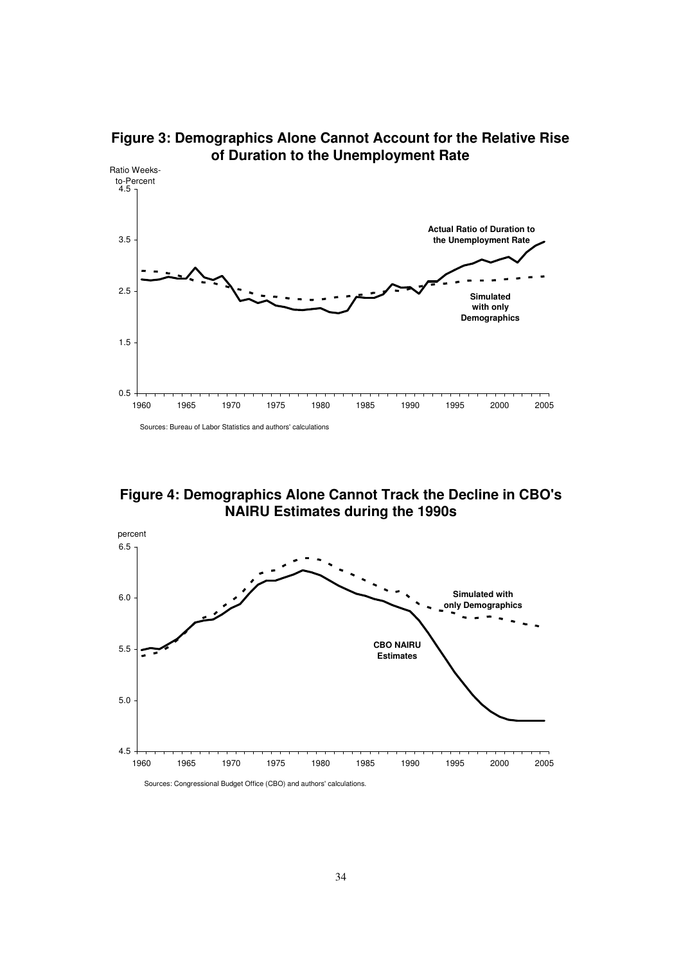

**Figure 3: Demographics Alone Cannot Account for the Relative Rise of Duration to the Unemployment Rate**

**Figure 4: Demographics Alone Cannot Track the Decline in CBO's NAIRU Estimates during the 1990s**



Sources: Congressional Budget Office (CBO) and authors' calculations.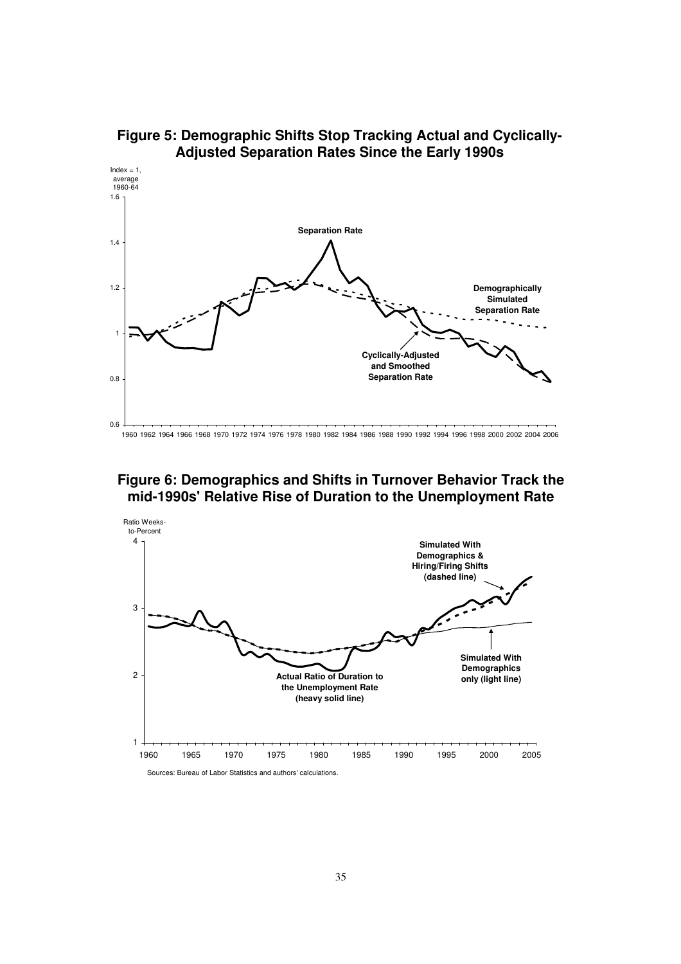

**Figure 5: Demographic Shifts Stop Tracking Actual and Cyclically-Adjusted Separation Rates Since the Early 1990s**

1960 1962 1964 1966 1968 1970 1972 1974 1976 1978 1980 1982 1984 1986 1988 1990 1992 1994 1996 1998 2000 2002 2004 2006

# **Figure 6: Demographics and Shifts in Turnover Behavior Track the mid-1990s' Relative Rise of Duration to the Unemployment Rate**



Sources: Bureau of Labor Statistics and authors' calculations.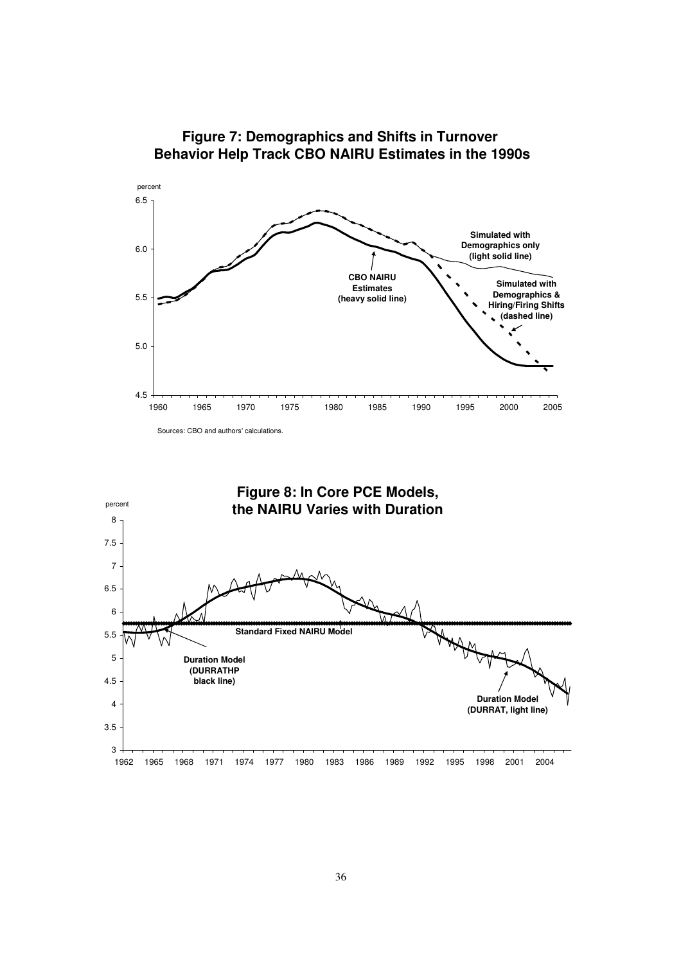



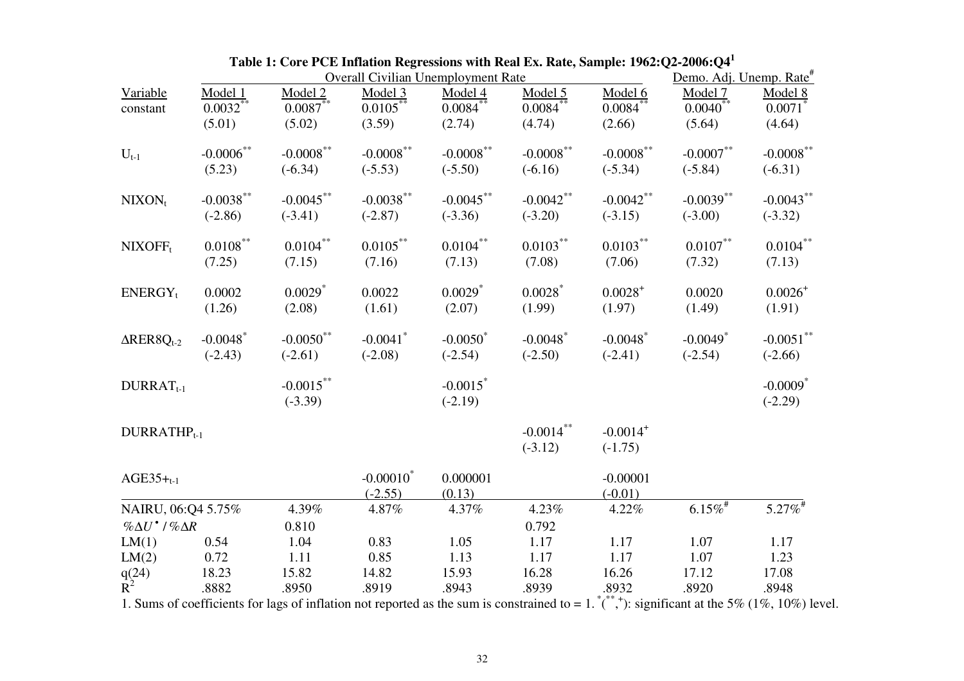|                                       |                               | Demo. Adj. Unemp. Rate <sup>#</sup> |                               |                               |                               |                        |                        |                        |
|---------------------------------------|-------------------------------|-------------------------------------|-------------------------------|-------------------------------|-------------------------------|------------------------|------------------------|------------------------|
| Variable                              | Model 1                       | Model 2                             | Model 3                       | Model 4                       | Model 5                       | Model 6                | Model <sub>7</sub>     | Model 8                |
| constant                              | $0.0032$ *                    | $0.0087**$                          | $0.0105$ **                   | $0.0084$ *                    | $0.0084$ *                    | $0.0084$ *             | 0.0040                 | $0.0071$ <sup>*</sup>  |
|                                       | (5.01)                        | (5.02)                              | (3.59)                        | (2.74)                        | (4.74)                        | (2.66)                 | (5.64)                 | (4.64)                 |
| $U_{t-1}$                             | $-0.0006$ **                  | $\textbf{-0.0008}^{\ast\ast}$       | $\textbf{-0.0008}^{\ast\ast}$ | $\textbf{-0.0008}^{\ast\ast}$ | $\textbf{-0.0008}^{\ast\ast}$ | $-0.0008***$           | $-0.0007***$           | $-0.0008^{**}$         |
|                                       | (5.23)                        | $(-6.34)$                           | $(-5.53)$                     | $(-5.50)$                     | $(-6.16)$                     | $(-5.34)$              | $(-5.84)$              | $(-6.31)$              |
| NIXON <sub>t</sub>                    | $\textbf{-0.0038}^{\ast\ast}$ | $-0.0045$ **                        | $-0.0038***$                  | $-0.0045$ **                  | $-0.0042$ **                  | $-0.0042$ **           | $-0.0039***$           | $-0.0043***$           |
|                                       | $(-2.86)$                     | $(-3.41)$                           | $(-2.87)$                     | $(-3.36)$                     | $(-3.20)$                     | $(-3.15)$              | $(-3.00)$              | $(-3.32)$              |
| NIXOFF <sub>t</sub>                   | $0.0108^{**}$                 | $0.0104***$                         | $0.0105\overset{**}{ }$       | $0.0104^{**}$                 | $0.0103***$                   | $0.0103***$            | $0.0107***$            | $0.0104***$            |
|                                       | (7.25)                        | (7.15)                              | (7.16)                        | (7.13)                        | (7.08)                        | (7.06)                 | (7.32)                 | (7.13)                 |
| $ENERGY_t$                            | 0.0002                        | $0.0029$ *                          | 0.0022                        | $0.0029$ *                    | $0.0028$ *                    | $0.0028^{+}$           | 0.0020                 | $0.0026^{+}$           |
|                                       | (1.26)                        | (2.08)                              | (1.61)                        | (2.07)                        | (1.99)                        | (1.97)                 | (1.49)                 | (1.91)                 |
| $\Delta$ RER8Q <sub>t-2</sub>         | $-0.0048$ <sup>*</sup>        | $-0.0050$ **                        | $-0.0041$ <sup>*</sup>        | $-0.0050$ <sup>*</sup>        | $-0.0048$ <sup>*</sup>        | $-0.0048$ <sup>*</sup> | $-0.0049$ <sup>*</sup> | $-0.0051$ **           |
|                                       | $(-2.43)$                     | $(-2.61)$                           | $(-2.08)$                     | $(-2.54)$                     | $(-2.50)$                     | $(-2.41)$              | $(-2.54)$              | $(-2.66)$              |
| $DURRAT_{t-1}$                        |                               | $-0.0015***$                        |                               | $-0.0015$ <sup>*</sup>        |                               |                        |                        | $-0.0009$ <sup>*</sup> |
|                                       |                               | $(-3.39)$                           |                               | $(-2.19)$                     |                               |                        |                        | $(-2.29)$              |
| $DURRATHP_{t-1}$                      |                               |                                     |                               | $-0.0014***$                  | $-0.0014^{+}$                 |                        |                        |                        |
|                                       |                               |                                     |                               |                               | $(-3.12)$                     | $(-1.75)$              |                        |                        |
| $AGE35+_{t-1}$                        |                               |                                     | $-0.00010^*$                  | 0.000001                      |                               | $-0.00001$             |                        |                        |
|                                       |                               |                                     | $(-2.55)$                     | (0.13)                        |                               | $(-0.01)$              |                        |                        |
| NAIRU, 06:Q4 5.75%                    |                               | 4.39%                               | 4.87%                         | 4.37%                         | 4.23%                         | 4.22%                  | $6.15\%$ <sup>#</sup>  | $5.27\%$ <sup>#</sup>  |
| $\%\Delta U^{\bullet}$ / $\%\Delta R$ |                               | 0.810                               |                               |                               | 0.792                         |                        |                        |                        |
| LM(1)                                 | 0.54                          | 1.04                                | 0.83                          | 1.05                          | 1.17                          | 1.17                   | 1.07                   | 1.17                   |
| LM(2)                                 | 0.72                          | 1.11                                | 0.85                          | 1.13                          | 1.17                          | 1.17                   | 1.07                   | 1.23                   |
| $q(24)$<br>$R^2$                      | 18.23                         | 15.82                               | 14.82                         | 15.93                         | 16.28                         | 16.26                  | 17.12                  | 17.08                  |
|                                       | .8882                         | .8950                               | .8919                         | .8943                         | .8939                         | .8932                  | .8920                  | .8948                  |

**Table 1: Core PCE Inflation Regressions with Real Ex. Rate, Sample: 1962:Q2-2006:Q4<sup>1</sup>**

1. Sums of coefficients for lags of inflation not reported as the sum is constrained to =  $1.^*($ <sup>\*\*\*</sup>,<sup>\*</sup>): significant at the 5% (1%, 10%) level.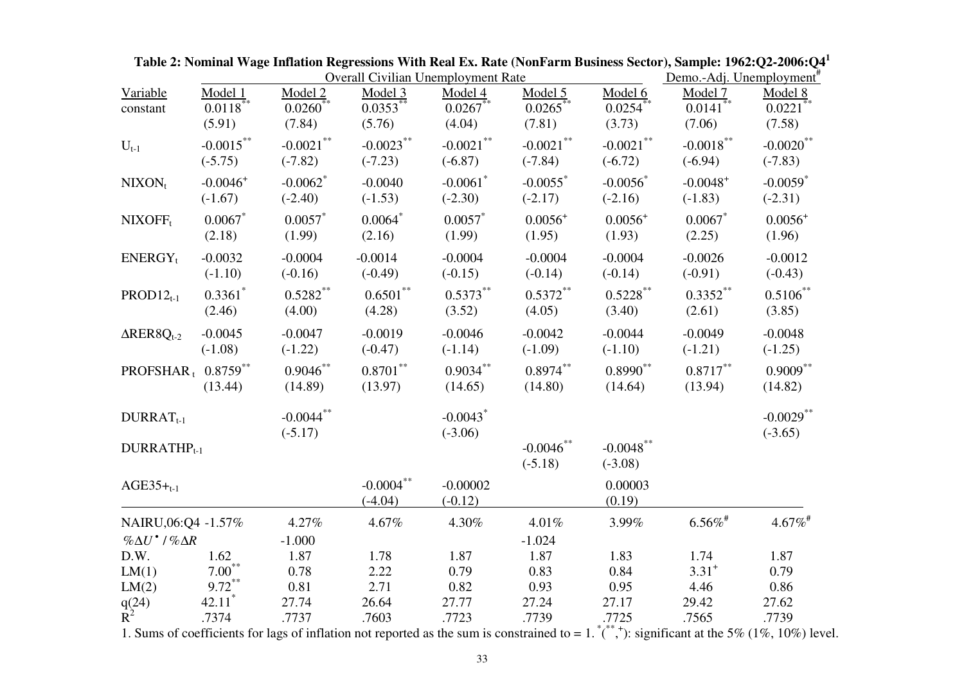| <b>Overall Civilian Unemployment Rate</b> |                                 |                                           |                                  |                                     |                                            |                                            |                                      | Demo.-Adj. Unemployment <sup>#</sup>        |  |  |
|-------------------------------------------|---------------------------------|-------------------------------------------|----------------------------------|-------------------------------------|--------------------------------------------|--------------------------------------------|--------------------------------------|---------------------------------------------|--|--|
| Variable<br>constant                      | Model 1<br>$0.0118**$<br>(5.91) | $\frac{\text{Model 2}}{0.0260}$<br>(7.84) | Model 3<br>$0.0353$ **<br>(5.76) | Model 4<br>$0.0267$ *<br>(4.04)     | Model 5<br>$0.0265$ <sup>*</sup><br>(7.81) | Model 6<br>$0.0254$ *<br>(3.73)            | Model 7<br>0.0141<br>(7.06)          | Model 8<br>$0.0221$ <sup>**</sup><br>(7.58) |  |  |
| $U_{t-1}$                                 | $-0.0015$ **<br>$(-5.75)$       | $\textbf{-0.0021}^{**}$<br>$(-7.82)$      | $-0.0023***$<br>$(-7.23)$        | $-0.0021$ **<br>$(-6.87)$           | $\textbf{-0.0021}^{**}$<br>$(-7.84)$       | $\textbf{-0.0021}^{\ast\ast}$<br>$(-6.72)$ | $\textbf{-0.0018}^{**}$<br>$(-6.94)$ | $-0.0020$ <sup>**</sup><br>$(-7.83)$        |  |  |
| NIXON <sub>t</sub>                        | $-0.0046^{+}$<br>$(-1.67)$      | $-0.0062$ <sup>*</sup><br>$(-2.40)$       | $-0.0040$<br>$(-1.53)$           | $-0.0061$ <sup>*</sup><br>$(-2.30)$ | $-0.0055$ <sup>*</sup><br>$(-2.17)$        | $-0.0056$<br>$(-2.16)$                     | $-0.0048^{+}$<br>$(-1.83)$           | $-0.0059$ <sup>*</sup><br>$(-2.31)$         |  |  |
| $NIX$ OF $F_t$                            | $0.0067$ *<br>(2.18)            | $0.0057$ *<br>(1.99)                      | $0.0064$ *<br>(2.16)             | $0.0057$ *<br>(1.99)                | $0.0056^{+}$<br>(1.95)                     | $0.0056^{+}$<br>(1.93)                     | $0.0067$ *<br>(2.25)                 | $0.0056^{+}$<br>(1.96)                      |  |  |
| $ENERGY_t$                                | $-0.0032$<br>$(-1.10)$          | $-0.0004$<br>$(-0.16)$                    | $-0.0014$<br>$(-0.49)$           | $-0.0004$<br>$(-0.15)$              | $-0.0004$<br>$(-0.14)$                     | $-0.0004$<br>$(-0.14)$                     | $-0.0026$<br>$(-0.91)$               | $-0.0012$<br>$(-0.43)$                      |  |  |
| $PROD12_{t-1}$                            | $0.3361$ *<br>(2.46)            | $0.5282***$<br>(4.00)                     | $0.6501^{**}$<br>(4.28)          | $0.5373***$<br>(3.52)               | $0.5372***$<br>(4.05)                      | $0.5228***$<br>(3.40)                      | $0.3352***$<br>(2.61)                | $0.5106***$<br>(3.85)                       |  |  |
| $\Delta$ RER8 $Q_{t-2}$                   | $-0.0045$<br>$(-1.08)$          | $-0.0047$<br>$(-1.22)$                    | $-0.0019$<br>$(-0.47)$           | $-0.0046$<br>$(-1.14)$              | $-0.0042$<br>$(-1.09)$                     | $-0.0044$<br>$(-1.10)$                     | $-0.0049$<br>$(-1.21)$               | $-0.0048$<br>$(-1.25)$                      |  |  |
| PROFSHAR, $0.8759**$                      | (13.44)                         | $0.9046***$<br>(14.89)                    | $0.8701\sp{**}$<br>(13.97)       | $0.9034***$<br>(14.65)              | $0.8974***$<br>(14.80)                     | $0.8990**$<br>(14.64)                      | $0.8717***$<br>(13.94)               | $0.9009***$<br>(14.82)                      |  |  |
| $DURRAT_{t-1}$                            |                                 | $-0.0044$ **<br>$(-5.17)$                 |                                  | $-0.0043$ <sup>*</sup><br>$(-3.06)$ |                                            |                                            |                                      | $-0.0029$ **<br>$(-3.65)$                   |  |  |
| $DURRATHP_{t-1}$                          |                                 |                                           |                                  |                                     | $-0.0046$<br>$(-5.18)$                     | $-0.0048$ **<br>$(-3.08)$                  |                                      |                                             |  |  |
| $AGE35+_{t-1}$                            |                                 |                                           | $-0.0004$ **<br>$(-4.04)$        | $-0.00002$<br>$(-0.12)$             |                                            | 0.00003<br>(0.19)                          |                                      |                                             |  |  |
| NAIRU,06:Q4 -1.57%                        |                                 | 4.27%                                     | 4.67%                            | 4.30%                               | 4.01%                                      | 3.99%                                      | $6.56\%$ <sup>#</sup>                | $4.67\%$ <sup>#</sup>                       |  |  |
| $\%\Delta U^{\bullet}$ / $\%\Delta R$     |                                 | $-1.000$                                  |                                  |                                     | $-1.024$                                   |                                            |                                      |                                             |  |  |
| D.W.                                      | 1.62                            | 1.87                                      | 1.78                             | 1.87                                | 1.87                                       | 1.83                                       | 1.74                                 | 1.87                                        |  |  |
| LM(1)                                     | $7.00***$                       | 0.78                                      | 2.22                             | 0.79                                | 0.83                                       | 0.84                                       | $3.31^{+}$                           | 0.79                                        |  |  |
| LM(2)                                     | $9.72***$                       | 0.81                                      | 2.71                             | 0.82                                | 0.93                                       | 0.95                                       | 4.46                                 | 0.86                                        |  |  |
| $q(24)$<br>$R^2$                          | $42.11$ <sup>*</sup>            | 27.74                                     | 26.64                            | 27.77                               | 27.24                                      | 27.17                                      | 29.42                                | 27.62                                       |  |  |
|                                           | .7374                           | .7737                                     | .7603                            | .7723                               | .7739                                      | .7725                                      | .7565                                | .7739                                       |  |  |

**Table 2: Nominal Wage Inflation Regressions With Real Ex. Rate (NonFarm Business Sector), Sample: 1962:Q2-2006:Q4<sup>1</sup>**

1. Sums of coefficients for lags of inflation not reported as the sum is constrained to =  $1.$   $*$ ( $*$ ,  $*$ ): significant at the 5% (1%, 10%) level.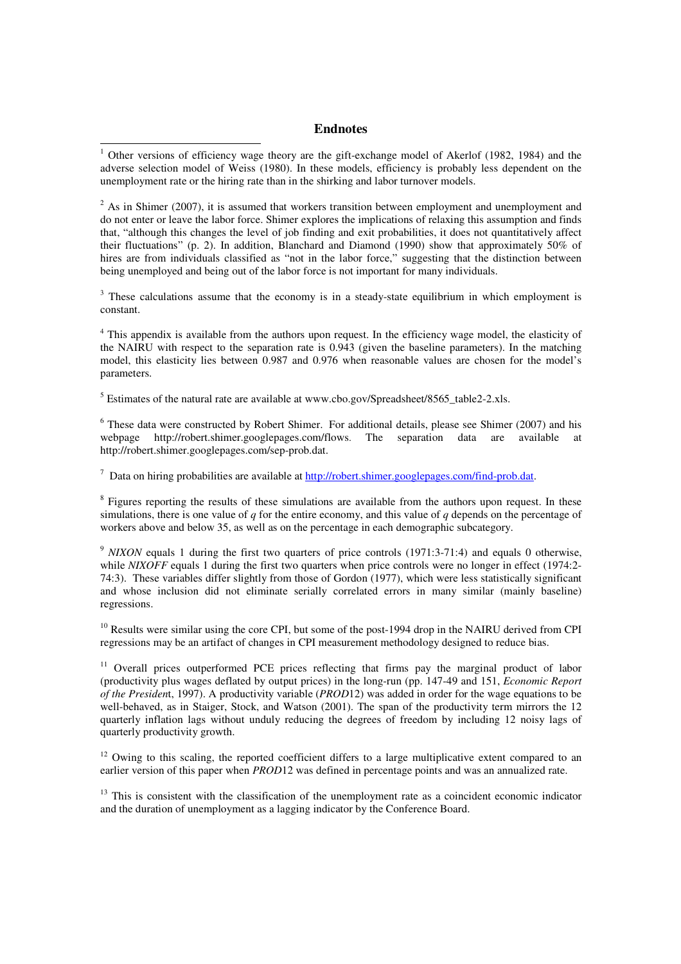## **Endnotes**

 $2$  As in Shimer (2007), it is assumed that workers transition between employment and unemployment and do not enter or leave the labor force. Shimer explores the implications of relaxing this assumption and finds that, "although this changes the level of job finding and exit probabilities, it does not quantitatively affect their fluctuations" (p. 2). In addition, Blanchard and Diamond (1990) show that approximately 50% of hires are from individuals classified as "not in the labor force," suggesting that the distinction between being unemployed and being out of the labor force is not important for many individuals.

 $3$  These calculations assume that the economy is in a steady-state equilibrium in which employment is constant.

<sup>4</sup> This appendix is available from the authors upon request. In the efficiency wage model, the elasticity of the NAIRU with respect to the separation rate is 0.943 (given the baseline parameters). In the matching model, this elasticity lies between 0.987 and 0.976 when reasonable values are chosen for the model's parameters.

 $<sup>5</sup>$  Estimates of the natural rate are available at www.cbo.gov/Spreadsheet/8565\_table2-2.xls.</sup>

<sup>6</sup> These data were constructed by Robert Shimer. For additional details, please see Shimer (2007) and his webpage http://robert.shimer.googlepages.com/flows. The separation data are available http://robert.shimer.googlepages.com/sep-prob.dat.

<sup>7</sup> Data on hiring probabilities are available at http://robert.shimer.googlepages.com/find-prob.dat.

<sup>8</sup> Figures reporting the results of these simulations are available from the authors upon request. In these simulations, there is one value of *q* for the entire economy, and this value of *q* depends on the percentage of workers above and below 35, as well as on the percentage in each demographic subcategory.

<sup>9</sup> *NIXON* equals 1 during the first two quarters of price controls (1971:3-71:4) and equals 0 otherwise, while *NIXOFF* equals 1 during the first two quarters when price controls were no longer in effect (1974:2-74:3). These variables differ slightly from those of Gordon (1977), which were less statistically significant and whose inclusion did not eliminate serially correlated errors in many similar (mainly baseline) regressions.

<sup>10</sup> Results were similar using the core CPI, but some of the post-1994 drop in the NAIRU derived from CPI regressions may be an artifact of changes in CPI measurement methodology designed to reduce bias.

<sup>11</sup> Overall prices outperformed PCE prices reflecting that firms pay the marginal product of labor (productivity plus wages deflated by output prices) in the long-run (pp. 147-49 and 151, *Economic Report of the Presiden*t, 1997). A productivity variable (*PROD*12) was added in order for the wage equations to be well-behaved, as in Staiger, Stock, and Watson (2001). The span of the productivity term mirrors the 12 quarterly inflation lags without unduly reducing the degrees of freedom by including 12 noisy lags of quarterly productivity growth.

 $12$  Owing to this scaling, the reported coefficient differs to a large multiplicative extent compared to an earlier version of this paper when *PROD*12 was defined in percentage points and was an annualized rate.

<sup>13</sup> This is consistent with the classification of the unemployment rate as a coincident economic indicator and the duration of unemployment as a lagging indicator by the Conference Board.

 1 Other versions of efficiency wage theory are the gift-exchange model of Akerlof (1982, 1984) and the adverse selection model of Weiss (1980). In these models, efficiency is probably less dependent on the unemployment rate or the hiring rate than in the shirking and labor turnover models.